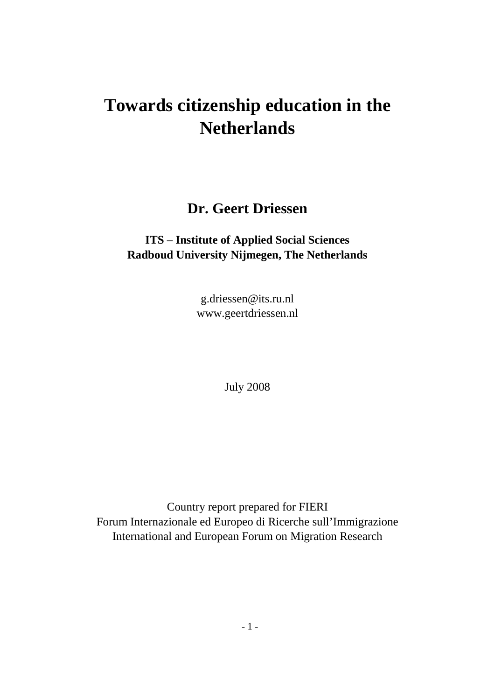# **Towards citizenship education in the Netherlands**

**Dr. Geert Driessen**

# **ITS – Institute of Applied Social Sciences Radboud University Nijmegen, The Netherlands**

g.driessen@its.ru.nl www.geertdriessen.nl

July 2008

<span id="page-0-0"></span>Country report prepared for FIERI Forum Internazionale ed Europeo di Ricerche sull'Immigrazione International and European Forum on Migration Research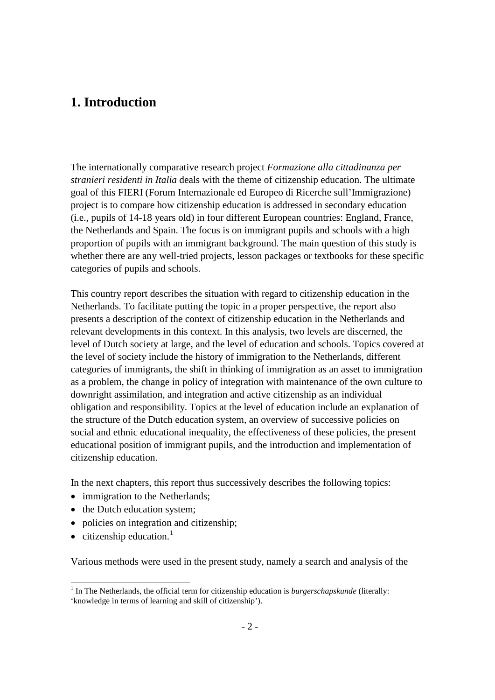# **1. Introduction**

The internationally comparative research project *Formazione alla cittadinanza per stranieri residenti in Italia* deals with the theme of citizenship education. The ultimate goal of this FIERI (Forum Internazionale ed Europeo di Ricerche sull'Immigrazione) project is to compare how citizenship education is addressed in secondary education (i.e., pupils of 14-18 years old) in four different European countries: England, France, the Netherlands and Spain. The focus is on immigrant pupils and schools with a high proportion of pupils with an immigrant background. The main question of this study is whether there are any well-tried projects, lesson packages or textbooks for these specific categories of pupils and schools.

This country report describes the situation with regard to citizenship education in the Netherlands. To facilitate putting the topic in a proper perspective, the report also presents a description of the context of citizenship education in the Netherlands and relevant developments in this context. In this analysis, two levels are discerned, the level of Dutch society at large, and the level of education and schools. Topics covered at the level of society include the history of immigration to the Netherlands, different categories of immigrants, the shift in thinking of immigration as an asset to immigration as a problem, the change in policy of integration with maintenance of the own culture to downright assimilation, and integration and active citizenship as an individual obligation and responsibility. Topics at the level of education include an explanation of the structure of the Dutch education system, an overview of successive policies on social and ethnic educational inequality, the effectiveness of these policies, the present educational position of immigrant pupils, and the introduction and implementation of citizenship education.

In the next chapters, this report thus successively describes the following topics:

- immigration to the Netherlands:
- the Dutch education system;
- <span id="page-1-0"></span>• policies on integration and citizenship;
- citizenship education.<sup>[1](#page-0-0)</sup>

Various methods were used in the present study, namely a search and analysis of the

 $<sup>1</sup>$  In The Netherlands, the official term for citizenship education is *burgerschapskunde* (literally:</sup> 'knowledge in terms of learning and skill of citizenship').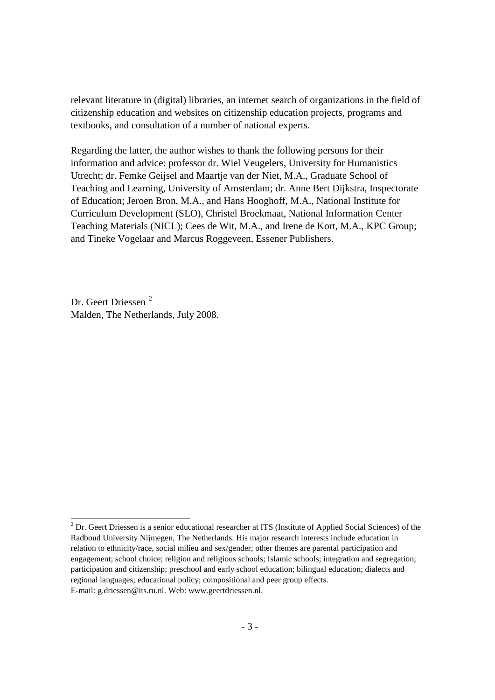relevant literature in (digital) libraries, an internet search of organizations in the field of citizenship education and websites on citizenship education projects, programs and textbooks, and consultation of a number of national experts.

Regarding the latter, the author wishes to thank the following persons for their information and advice: professor dr. Wiel Veugelers, University for Humanistics Utrecht; dr. Femke Geijsel and Maartje van der Niet, M.A., Graduate School of Teaching and Learning, University of Amsterdam; dr. Anne Bert Dijkstra, Inspectorate of Education; Jeroen Bron, M.A., and Hans Hooghoff, M.A., National Institute for Curriculum Development (SLO), Christel Broekmaat, National Information Center Teaching Materials (NICL); Cees de Wit, M.A., and Irene de Kort, M.A., KPC Group; and Tineke Vogelaar and Marcus Roggeveen, Essener Publishers.

Dr. Geert Driessen [2](#page-1-0) Malden, The Netherlands, July 2008.

<span id="page-2-0"></span> $2^{2}$  Dr. Geert Driessen is a senior educational researcher at ITS (Institute of Applied Social Sciences) of the Radboud University Nijmegen, The Netherlands. His major research interests include education in relation to ethnicity/race, social milieu and sex/gender; other themes are parental participation and engagement; school choice; religion and religious schools; Islamic schools; integration and segregation; participation and citizenship; preschool and early school education; bilingual education; dialects and regional languages; educational policy; compositional and peer group effects. E-mail: g.driessen@its.ru.nl. Web: www.geertdriessen.nl.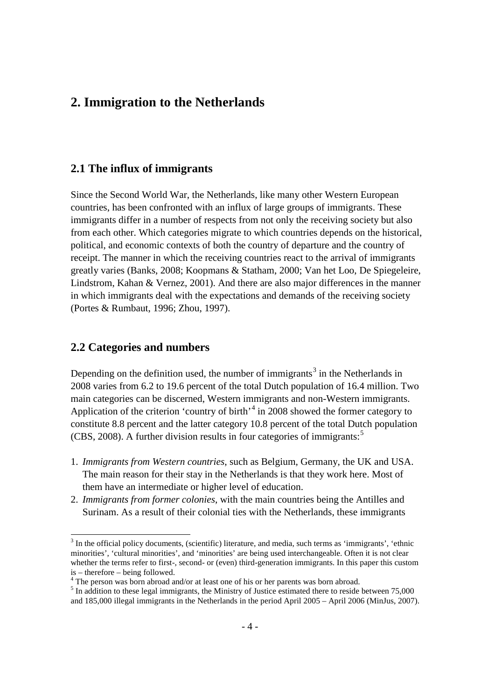# **2. Immigration to the Netherlands**

# **2.1 The influx of immigrants**

Since the Second World War, the Netherlands, like many other Western European countries, has been confronted with an influx of large groups of immigrants. These immigrants differ in a number of respects from not only the receiving society but also from each other. Which categories migrate to which countries depends on the historical, political, and economic contexts of both the country of departure and the country of receipt. The manner in which the receiving countries react to the arrival of immigrants greatly varies (Banks, 2008; Koopmans & Statham, 2000; Van het Loo, De Spiegeleire, Lindstrom, Kahan & Vernez, 2001). And there are also major differences in the manner in which immigrants deal with the expectations and demands of the receiving society (Portes & Rumbaut, 1996; Zhou, 1997).

### **2.2 Categories and numbers**

Depending on the definition used, the number of immigrants<sup>[3](#page-2-0)</sup> in the Netherlands in 2008 varies from 6.2 to 19.6 percent of the total Dutch population of 16.4 million. Two main categories can be discerned, Western immigrants and non-Western immigrants. Application of the criterion 'country of birth'<sup>[4](#page-3-0)</sup> in 2008 showed the former category to constitute 8.8 percent and the latter category 10.8 percent of the total Dutch population (CBS, 2008). A further division results in four categories of immigrants:<sup>[5](#page-3-1)</sup>

- 1. *Immigrants from Western countries*, such as Belgium, Germany, the UK and USA. The main reason for their stay in the Netherlands is that they work here. Most of them have an intermediate or higher level of education.
- <span id="page-3-2"></span>2. *Immigrants from former colonies*, with the main countries being the Antilles and Surinam. As a result of their colonial ties with the Netherlands, these immigrants

 <sup>3</sup> In the official policy documents, (scientific) literature, and media, such terms as 'immigrants', 'ethnic minorities', 'cultural minorities', and 'minorities' are being used interchangeable. Often it is not clear whether the terms refer to first-, second- or (even) third-generation immigrants. In this paper this custom is – therefore – being followed.

<span id="page-3-0"></span> $\frac{4}{1}$  The person was born abroad and/or at least one of his or her parents was born abroad.

<span id="page-3-1"></span><sup>&</sup>lt;sup>5</sup> In addition to these legal immigrants, the Ministry of Justice estimated there to reside between 75,000 and 185,000 illegal immigrants in the Netherlands in the period April 2005 – April 2006 (MinJus, 2007).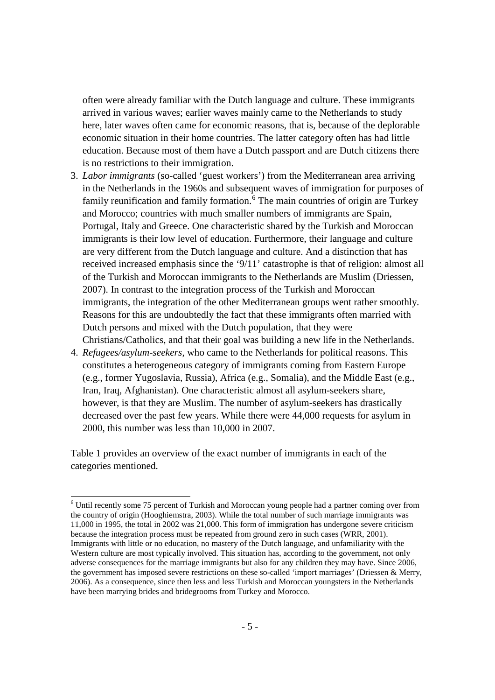often were already familiar with the Dutch language and culture. These immigrants arrived in various waves; earlier waves mainly came to the Netherlands to study here, later waves often came for economic reasons, that is, because of the deplorable economic situation in their home countries. The latter category often has had little education. Because most of them have a Dutch passport and are Dutch citizens there is no restrictions to their immigration.

- 3. *Labor immigrants* (so-called 'guest workers') from the Mediterranean area arriving in the Netherlands in the 1960s and subsequent waves of immigration for purposes of family reunification and family formation. $6\overline{6}$  $6\overline{6}$  The main countries of origin are Turkey and Morocco; countries with much smaller numbers of immigrants are Spain, Portugal, Italy and Greece. One characteristic shared by the Turkish and Moroccan immigrants is their low level of education. Furthermore, their language and culture are very different from the Dutch language and culture. And a distinction that has received increased emphasis since the '9/11' catastrophe is that of religion: almost all of the Turkish and Moroccan immigrants to the Netherlands are Muslim (Driessen, 2007). In contrast to the integration process of the Turkish and Moroccan immigrants, the integration of the other Mediterranean groups went rather smoothly. Reasons for this are undoubtedly the fact that these immigrants often married with Dutch persons and mixed with the Dutch population, that they were Christians/Catholics, and that their goal was building a new life in the Netherlands.
- 4. *Refugees/asylum-seekers*, who came to the Netherlands for political reasons. This constitutes a heterogeneous category of immigrants coming from Eastern Europe (e.g., former Yugoslavia, Russia), Africa (e.g., Somalia), and the Middle East (e.g., Iran, Iraq, Afghanistan). One characteristic almost all asylum-seekers share, however, is that they are Muslim. The number of asylum-seekers has drastically decreased over the past few years. While there were 44,000 requests for asylum in 2000, this number was less than 10,000 in 2007.

Table 1 provides an overview of the exact number of immigrants in each of the categories mentioned.

<span id="page-4-0"></span> <sup>6</sup> Until recently some 75 percent of Turkish and Moroccan young people had a partner coming over from the country of origin (Hooghiemstra, 2003). While the total number of such marriage immigrants was 11,000 in 1995, the total in 2002 was 21,000. This form of immigration has undergone severe criticism because the integration process must be repeated from ground zero in such cases (WRR, 2001). Immigrants with little or no education, no mastery of the Dutch language, and unfamiliarity with the Western culture are most typically involved. This situation has, according to the government, not only adverse consequences for the marriage immigrants but also for any children they may have. Since 2006, the government has imposed severe restrictions on these so-called 'import marriages' (Driessen & Merry, 2006). As a consequence, since then less and less Turkish and Moroccan youngsters in the Netherlands have been marrying brides and bridegrooms from Turkey and Morocco.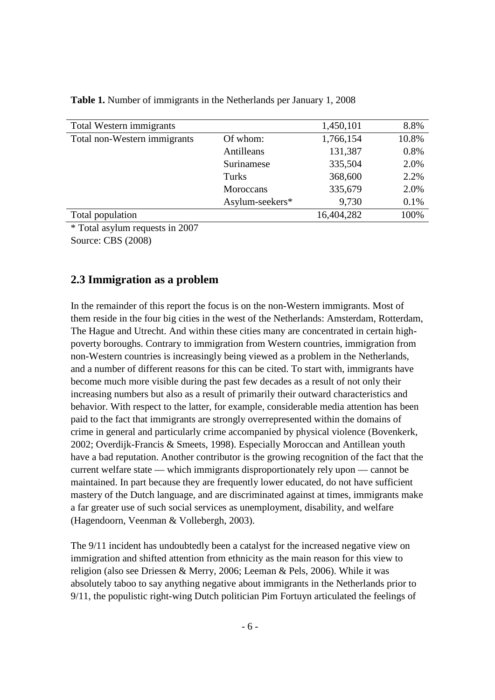| Total Western immigrants     |                 | 1,450,101  | 8.8%  |
|------------------------------|-----------------|------------|-------|
| Total non-Western immigrants | Of whom:        | 1,766,154  | 10.8% |
|                              | Antilleans      | 131,387    | 0.8%  |
|                              | Surinamese      | 335,504    | 2.0%  |
|                              | Turks           | 368,600    | 2.2%  |
|                              | Moroccans       | 335,679    | 2.0%  |
|                              | Asylum-seekers* | 9,730      | 0.1%  |
| Total population             |                 | 16,404,282 | 100%  |

**Table 1.** Number of immigrants in the Netherlands per January 1, 2008

\* Total asylum requests in 2007 Source: CBS (2008)

### **2.3 Immigration as a problem**

In the remainder of this report the focus is on the non-Western immigrants. Most of them reside in the four big cities in the west of the Netherlands: Amsterdam, Rotterdam, The Hague and Utrecht. And within these cities many are concentrated in certain highpoverty boroughs. Contrary to immigration from Western countries, immigration from non-Western countries is increasingly being viewed as a problem in the Netherlands, and a number of different reasons for this can be cited. To start with, immigrants have become much more visible during the past few decades as a result of not only their increasing numbers but also as a result of primarily their outward characteristics and behavior. With respect to the latter, for example, considerable media attention has been paid to the fact that immigrants are strongly overrepresented within the domains of crime in general and particularly crime accompanied by physical violence (Bovenkerk, 2002; Overdijk-Francis & Smeets, 1998). Especially Moroccan and Antillean youth have a bad reputation. Another contributor is the growing recognition of the fact that the current welfare state — which immigrants disproportionately rely upon — cannot be maintained. In part because they are frequently lower educated, do not have sufficient mastery of the Dutch language, and are discriminated against at times, immigrants make a far greater use of such social services as unemployment, disability, and welfare (Hagendoorn, Veenman & Vollebergh, 2003).

The 9/11 incident has undoubtedly been a catalyst for the increased negative view on immigration and shifted attention from ethnicity as the main reason for this view to religion (also see Driessen & Merry, 2006; Leeman & Pels, 2006). While it was absolutely taboo to say anything negative about immigrants in the Netherlands prior to 9/11, the populistic right-wing Dutch politician Pim Fortuyn articulated the feelings of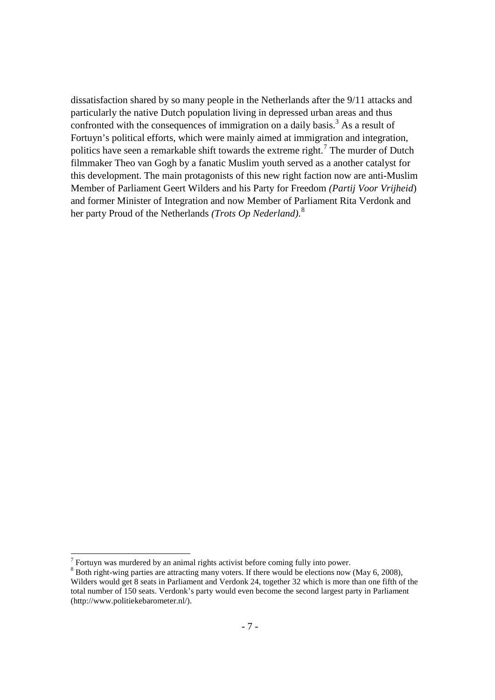dissatisfaction shared by so many people in the Netherlands after the 9/11 attacks and particularly the native Dutch population living in depressed urban areas and thus confronted with the consequences of immigration on a daily basis.<sup>3</sup> As a result of Fortuyn's political efforts, which were mainly aimed at immigration and integration, politics have seen a remarkable shift towards the extreme right.<sup>[7](#page-4-0)</sup> The murder of Dutch filmmaker Theo van Gogh by a fanatic Muslim youth served as a another catalyst for this development. The main protagonists of this new right faction now are anti-Muslim Member of Parliament Geert Wilders and his Party for Freedom *(Partij Voor Vrijheid*) and former Minister of Integration and now Member of Parliament Rita Verdonk and her party Proud of the Netherlands *(Trots Op Nederland)*. [8](#page-6-0)

<span id="page-6-1"></span> $<sup>7</sup>$  Fortuyn was murdered by an animal rights activist before coming fully into power.</sup>

<span id="page-6-0"></span><sup>&</sup>lt;sup>8</sup> Both right-wing parties are attracting many voters. If there would be elections now (May 6, 2008), Wilders would get 8 seats in Parliament and Verdonk 24, together 32 which is more than one fifth of the total number of 150 seats. Verdonk's party would even become the second largest party in Parliament (http://www.politiekebarometer.nl/).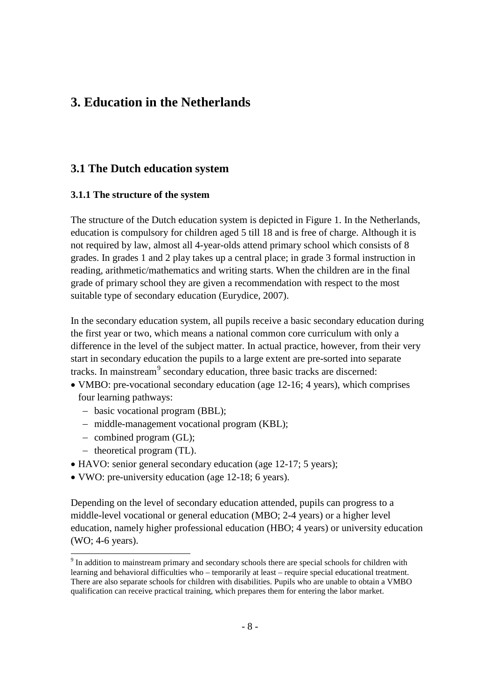# **3. Education in the Netherlands**

# **3.1 The Dutch education system**

# **3.1.1 The structure of the system**

The structure of the Dutch education system is depicted in Figure 1. In the Netherlands, education is compulsory for children aged 5 till 18 and is free of charge. Although it is not required by law, almost all 4-year-olds attend primary school which consists of 8 grades. In grades 1 and 2 play takes up a central place; in grade 3 formal instruction in reading, arithmetic/mathematics and writing starts. When the children are in the final grade of primary school they are given a recommendation with respect to the most suitable type of secondary education (Eurydice, 2007).

In the secondary education system, all pupils receive a basic secondary education during the first year or two, which means a national common core curriculum with only a difference in the level of the subject matter. In actual practice, however, from their very start in secondary education the pupils to a large extent are pre-sorted into separate tracks. In mainstream<sup>[9](#page-6-1)</sup> secondary education, three basic tracks are discerned:

- VMBO: pre-vocational secondary education (age 12-16; 4 years), which comprises four learning pathways:
	- − basic vocational program (BBL);
	- − middle-management vocational program (KBL);
	- − combined program (GL);
	- − theoretical program (TL).
- HAVO: senior general secondary education (age 12-17; 5 years);
- VWO: pre-university education (age 12-18; 6 years).

Depending on the level of secondary education attended, pupils can progress to a middle-level vocational or general education (MBO; 2-4 years) or a higher level education, namely higher professional education (HBO; 4 years) or university education (WO; 4-6 years).

<span id="page-7-0"></span> <sup>9</sup> In addition to mainstream primary and secondary schools there are special schools for children with learning and behavioral difficulties who – temporarily at least – require special educational treatment. There are also separate schools for children with disabilities. Pupils who are unable to obtain a VMBO qualification can receive practical training, which prepares them for entering the labor market.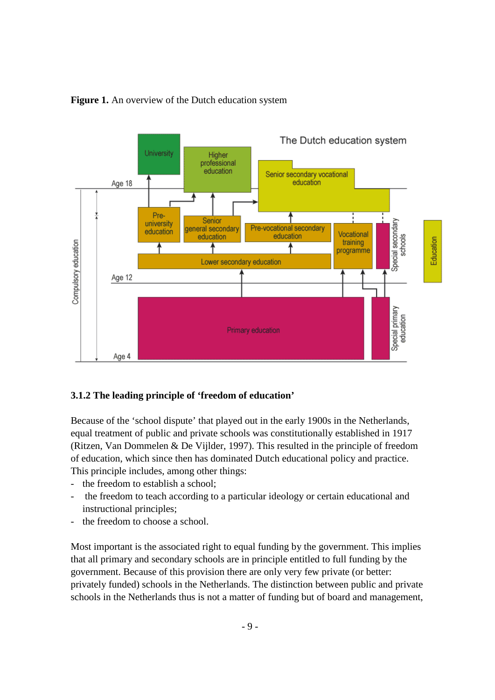

### Figure 1. An overview of the Dutch education system

### **3.1.2 The leading principle of 'freedom of education'**

Because of the 'school dispute' that played out in the early 1900s in the Netherlands, equal treatment of public and private schools was constitutionally established in 1917 (Ritzen, Van Dommelen & De Vijlder, 1997). This resulted in the principle of freedom of education, which since then has dominated Dutch educational policy and practice. This principle includes, among other things:

- the freedom to establish a school:
- the freedom to teach according to a particular ideology or certain educational and instructional principles;
- the freedom to choose a school.

Most important is the associated right to equal funding by the government. This implies that all primary and secondary schools are in principle entitled to full funding by the government. Because of this provision there are only very few private (or better: privately funded) schools in the Netherlands. The distinction between public and private schools in the Netherlands thus is not a matter of funding but of board and management,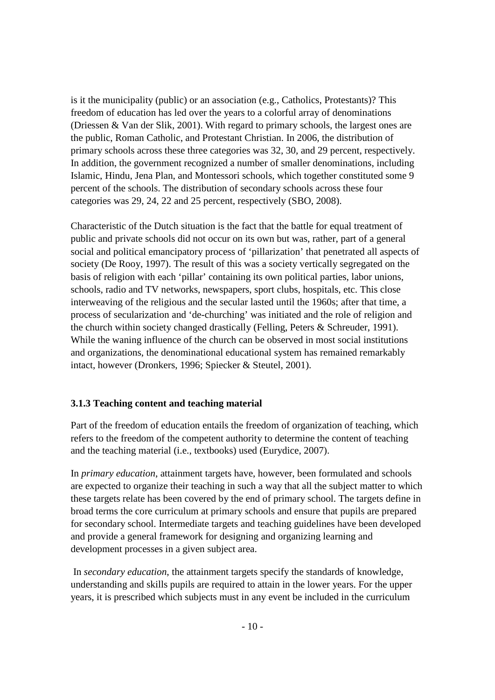is it the municipality (public) or an association (e.g., Catholics, Protestants)? This freedom of education has led over the years to a colorful array of denominations (Driessen & Van der Slik, 2001). With regard to primary schools, the largest ones are the public, Roman Catholic, and Protestant Christian. In 2006, the distribution of primary schools across these three categories was 32, 30, and 29 percent, respectively. In addition, the government recognized a number of smaller denominations, including Islamic, Hindu, Jena Plan, and Montessori schools, which together constituted some 9 percent of the schools. The distribution of secondary schools across these four categories was 29, 24, 22 and 25 percent, respectively (SBO, 2008).

Characteristic of the Dutch situation is the fact that the battle for equal treatment of public and private schools did not occur on its own but was, rather, part of a general social and political emancipatory process of 'pillarization' that penetrated all aspects of society (De Rooy, 1997). The result of this was a society vertically segregated on the basis of religion with each 'pillar' containing its own political parties, labor unions, schools, radio and TV networks, newspapers, sport clubs, hospitals, etc. This close interweaving of the religious and the secular lasted until the 1960s; after that time, a process of secularization and 'de-churching' was initiated and the role of religion and the church within society changed drastically (Felling, Peters & Schreuder, 1991). While the waning influence of the church can be observed in most social institutions and organizations, the denominational educational system has remained remarkably intact, however (Dronkers, 1996; Spiecker & Steutel, 2001).

### **3.1.3 Teaching content and teaching material**

Part of the freedom of education entails the freedom of organization of teaching, which refers to the freedom of the competent authority to determine the content of teaching and the teaching material (i.e., textbooks) used (Eurydice, 2007).

In *primary education*, attainment targets have, however, been formulated and schools are expected to organize their teaching in such a way that all the subject matter to which these targets relate has been covered by the end of primary school. The targets define in broad terms the core curriculum at primary schools and ensure that pupils are prepared for secondary school. Intermediate targets and teaching guidelines have been developed and provide a general framework for designing and organizing learning and development processes in a given subject area.

In *secondary education*, the attainment targets specify the standards of knowledge, understanding and skills pupils are required to attain in the lower years. For the upper years, it is prescribed which subjects must in any event be included in the curriculum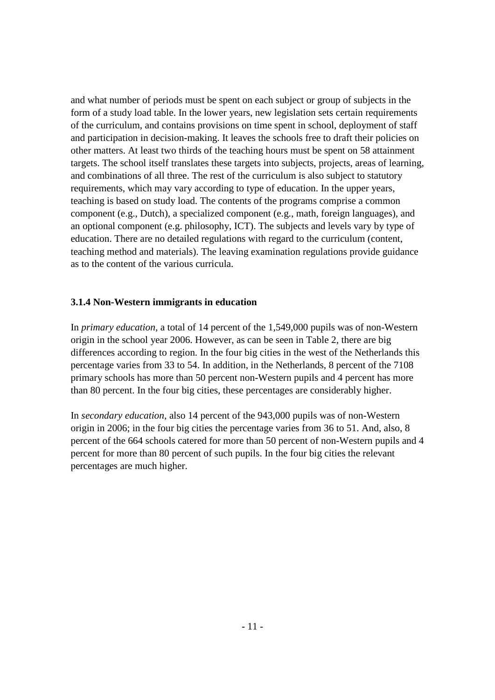and what number of periods must be spent on each subject or group of subjects in the form of a study load table. In the lower years, new legislation sets certain requirements of the curriculum, and contains provisions on time spent in school, deployment of staff and participation in decision-making. It leaves the schools free to draft their policies on other matters. At least two thirds of the teaching hours must be spent on 58 attainment targets. The school itself translates these targets into subjects, projects, areas of learning, and combinations of all three. The rest of the curriculum is also subject to statutory requirements, which may vary according to type of education. In the upper years, teaching is based on study load. The contents of the programs comprise a common component (e.g., Dutch), a specialized component (e.g., math, foreign languages), and an optional component (e.g. philosophy, ICT). The subjects and levels vary by type of education. There are no detailed regulations with regard to the curriculum (content, teaching method and materials). The leaving examination regulations provide guidance as to the content of the various curricula.

### **3.1.4 Non-Western immigrants in education**

In *primary education*, a total of 14 percent of the 1,549,000 pupils was of non-Western origin in the school year 2006. However, as can be seen in Table 2, there are big differences according to region. In the four big cities in the west of the Netherlands this percentage varies from 33 to 54. In addition, in the Netherlands, 8 percent of the 7108 primary schools has more than 50 percent non-Western pupils and 4 percent has more than 80 percent. In the four big cities, these percentages are considerably higher.

In *secondary education*, also 14 percent of the 943,000 pupils was of non-Western origin in 2006; in the four big cities the percentage varies from 36 to 51. And, also, 8 percent of the 664 schools catered for more than 50 percent of non-Western pupils and 4 percent for more than 80 percent of such pupils. In the four big cities the relevant percentages are much higher.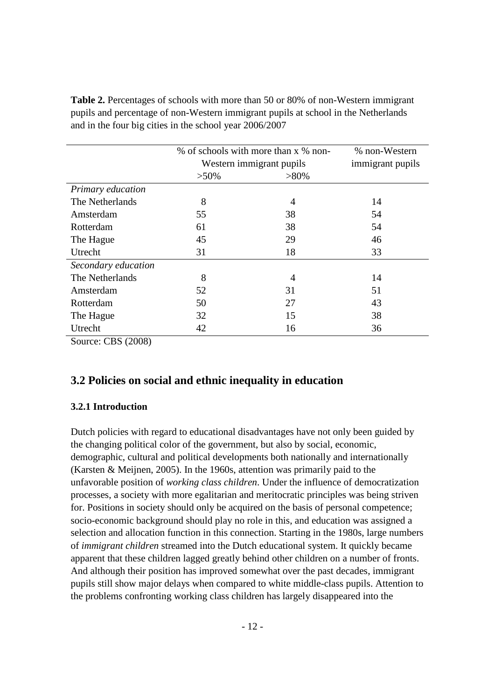|                     | % of schools with more than x % non- | % non-Western            |                  |
|---------------------|--------------------------------------|--------------------------|------------------|
|                     |                                      | Western immigrant pupils | immigrant pupils |
|                     | $>50\%$                              | $>80\%$                  |                  |
| Primary education   |                                      |                          |                  |
| The Netherlands     | 8                                    | 4                        | 14               |
| Amsterdam           | 55                                   | 38                       | 54               |
| Rotterdam           | 61                                   | 38                       | 54               |
| The Hague           | 45                                   | 29                       | 46               |
| Utrecht             | 31                                   | 18                       | 33               |
| Secondary education |                                      |                          |                  |
| The Netherlands     | 8                                    | 4                        | 14               |
| Amsterdam           | 52                                   | 31                       | 51               |
| Rotterdam           | 50                                   | 27                       | 43               |
| The Hague           | 32                                   | 15                       | 38               |
| Utrecht             | 42                                   | 16                       | 36               |
| Source: CBS (2008)  |                                      |                          |                  |

**Table 2.** Percentages of schools with more than 50 or 80% of non-Western immigrant pupils and percentage of non-Western immigrant pupils at school in the Netherlands and in the four big cities in the school year 2006/2007

# **3.2 Policies on social and ethnic inequality in education**

### **3.2.1 Introduction**

Dutch policies with regard to educational disadvantages have not only been guided by the changing political color of the government, but also by social, economic, demographic, cultural and political developments both nationally and internationally (Karsten & Meijnen, 2005). In the 1960s, attention was primarily paid to the unfavorable position of *working class children*. Under the influence of democratization processes, a society with more egalitarian and meritocratic principles was being striven for. Positions in society should only be acquired on the basis of personal competence; socio-economic background should play no role in this, and education was assigned a selection and allocation function in this connection. Starting in the 1980s, large numbers of *immigrant children* streamed into the Dutch educational system. It quickly became apparent that these children lagged greatly behind other children on a number of fronts. And although their position has improved somewhat over the past decades, immigrant pupils still show major delays when compared to white middle-class pupils. Attention to the problems confronting working class children has largely disappeared into the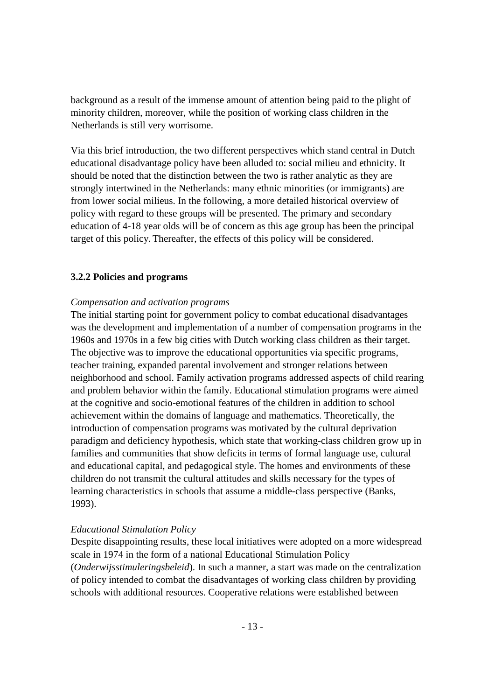background as a result of the immense amount of attention being paid to the plight of minority children, moreover, while the position of working class children in the Netherlands is still very worrisome.

Via this brief introduction, the two different perspectives which stand central in Dutch educational disadvantage policy have been alluded to: social milieu and ethnicity. It should be noted that the distinction between the two is rather analytic as they are strongly intertwined in the Netherlands: many ethnic minorities (or immigrants) are from lower social milieus. In the following, a more detailed historical overview of policy with regard to these groups will be presented. The primary and secondary education of 4-18 year olds will be of concern as this age group has been the principal target of this policy. Thereafter, the effects of this policy will be considered.

### **3.2.2 Policies and programs**

### *Compensation and activation programs*

The initial starting point for government policy to combat educational disadvantages was the development and implementation of a number of compensation programs in the 1960s and 1970s in a few big cities with Dutch working class children as their target. The objective was to improve the educational opportunities via specific programs, teacher training, expanded parental involvement and stronger relations between neighborhood and school. Family activation programs addressed aspects of child rearing and problem behavior within the family. Educational stimulation programs were aimed at the cognitive and socio-emotional features of the children in addition to school achievement within the domains of language and mathematics. Theoretically, the introduction of compensation programs was motivated by the cultural deprivation paradigm and deficiency hypothesis, which state that working-class children grow up in families and communities that show deficits in terms of formal language use, cultural and educational capital, and pedagogical style. The homes and environments of these children do not transmit the cultural attitudes and skills necessary for the types of learning characteristics in schools that assume a middle-class perspective (Banks, 1993).

### *Educational Stimulation Policy*

Despite disappointing results, these local initiatives were adopted on a more widespread scale in 1974 in the form of a national Educational Stimulation Policy (*Onderwijsstimuleringsbeleid*). In such a manner, a start was made on the centralization of policy intended to combat the disadvantages of working class children by providing schools with additional resources. Cooperative relations were established between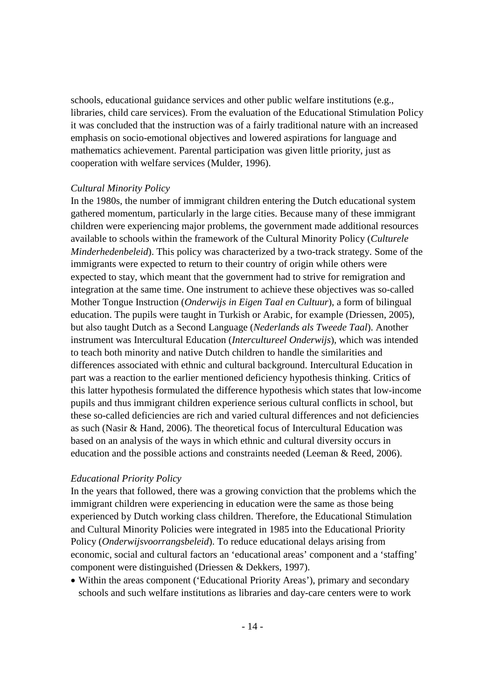schools, educational guidance services and other public welfare institutions (e.g., libraries, child care services). From the evaluation of the Educational Stimulation Policy it was concluded that the instruction was of a fairly traditional nature with an increased emphasis on socio-emotional objectives and lowered aspirations for language and mathematics achievement. Parental participation was given little priority, just as cooperation with welfare services (Mulder, 1996).

### *Cultural Minority Policy*

In the 1980s, the number of immigrant children entering the Dutch educational system gathered momentum, particularly in the large cities. Because many of these immigrant children were experiencing major problems, the government made additional resources available to schools within the framework of the Cultural Minority Policy (*Culturele Minderhedenbeleid*). This policy was characterized by a two-track strategy. Some of the immigrants were expected to return to their country of origin while others were expected to stay, which meant that the government had to strive for remigration and integration at the same time. One instrument to achieve these objectives was so-called Mother Tongue Instruction (*Onderwijs in Eigen Taal en Cultuur*), a form of bilingual education. The pupils were taught in Turkish or Arabic, for example (Driessen, 2005), but also taught Dutch as a Second Language (*Nederlands als Tweede Taal*). Another instrument was Intercultural Education (*Intercultureel Onderwijs*), which was intended to teach both minority and native Dutch children to handle the similarities and differences associated with ethnic and cultural background. Intercultural Education in part was a reaction to the earlier mentioned deficiency hypothesis thinking. Critics of this latter hypothesis formulated the difference hypothesis which states that low-income pupils and thus immigrant children experience serious cultural conflicts in school, but these so-called deficiencies are rich and varied cultural differences and not deficiencies as such (Nasir & Hand, 2006). The theoretical focus of Intercultural Education was based on an analysis of the ways in which ethnic and cultural diversity occurs in education and the possible actions and constraints needed (Leeman & Reed, 2006).

### *Educational Priority Policy*

In the years that followed, there was a growing conviction that the problems which the immigrant children were experiencing in education were the same as those being experienced by Dutch working class children. Therefore, the Educational Stimulation and Cultural Minority Policies were integrated in 1985 into the Educational Priority Policy (*Onderwijsvoorrangsbeleid*). To reduce educational delays arising from economic, social and cultural factors an 'educational areas' component and a 'staffing' component were distinguished (Driessen & Dekkers, 1997).

• Within the areas component ('Educational Priority Areas'), primary and secondary schools and such welfare institutions as libraries and day-care centers were to work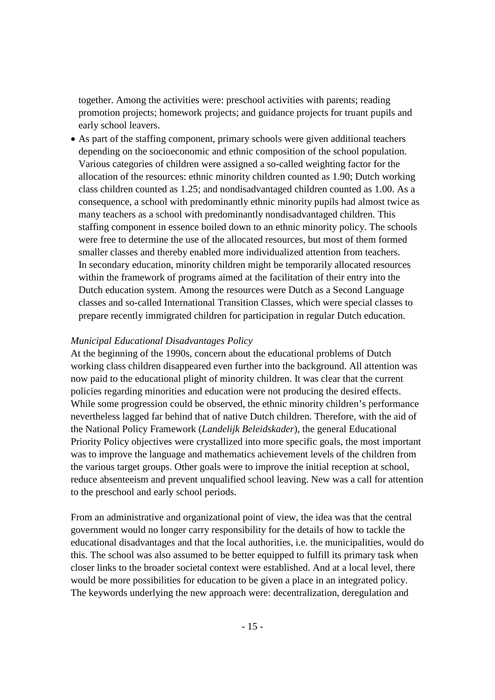together. Among the activities were: preschool activities with parents; reading promotion projects; homework projects; and guidance projects for truant pupils and early school leavers.

• As part of the staffing component, primary schools were given additional teachers depending on the socioeconomic and ethnic composition of the school population. Various categories of children were assigned a so-called weighting factor for the allocation of the resources: ethnic minority children counted as 1.90; Dutch working class children counted as 1.25; and nondisadvantaged children counted as 1.00. As a consequence, a school with predominantly ethnic minority pupils had almost twice as many teachers as a school with predominantly nondisadvantaged children. This staffing component in essence boiled down to an ethnic minority policy. The schools were free to determine the use of the allocated resources, but most of them formed smaller classes and thereby enabled more individualized attention from teachers. In secondary education, minority children might be temporarily allocated resources within the framework of programs aimed at the facilitation of their entry into the Dutch education system. Among the resources were Dutch as a Second Language classes and so-called International Transition Classes, which were special classes to prepare recently immigrated children for participation in regular Dutch education.

### *Municipal Educational Disadvantages Policy*

At the beginning of the 1990s, concern about the educational problems of Dutch working class children disappeared even further into the background. All attention was now paid to the educational plight of minority children. It was clear that the current policies regarding minorities and education were not producing the desired effects. While some progression could be observed, the ethnic minority children's performance nevertheless lagged far behind that of native Dutch children. Therefore, with the aid of the National Policy Framework (*Landelijk Beleidskader*), the general Educational Priority Policy objectives were crystallized into more specific goals, the most important was to improve the language and mathematics achievement levels of the children from the various target groups. Other goals were to improve the initial reception at school, reduce absenteeism and prevent unqualified school leaving. New was a call for attention to the preschool and early school periods.

From an administrative and organizational point of view, the idea was that the central government would no longer carry responsibility for the details of how to tackle the educational disadvantages and that the local authorities, i.e. the municipalities, would do this. The school was also assumed to be better equipped to fulfill its primary task when closer links to the broader societal context were established. And at a local level, there would be more possibilities for education to be given a place in an integrated policy. The keywords underlying the new approach were: decentralization, deregulation and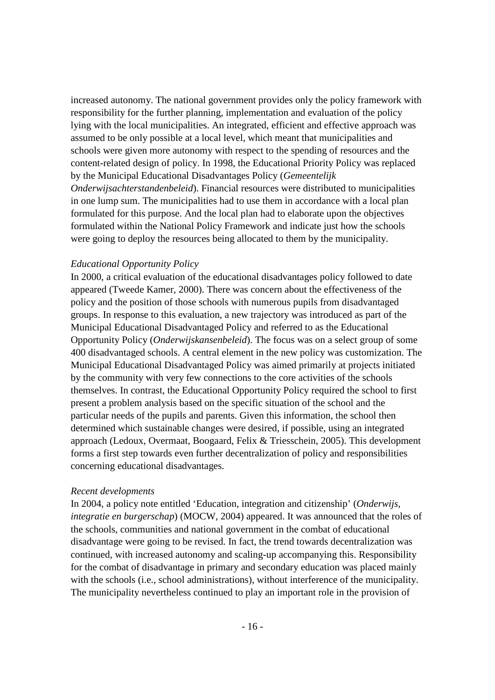increased autonomy. The national government provides only the policy framework with responsibility for the further planning, implementation and evaluation of the policy lying with the local municipalities. An integrated, efficient and effective approach was assumed to be only possible at a local level, which meant that municipalities and schools were given more autonomy with respect to the spending of resources and the content-related design of policy. In 1998, the Educational Priority Policy was replaced by the Municipal Educational Disadvantages Policy (*Gemeentelijk Onderwijsachterstandenbeleid*). Financial resources were distributed to municipalities in one lump sum. The municipalities had to use them in accordance with a local plan formulated for this purpose. And the local plan had to elaborate upon the objectives formulated within the National Policy Framework and indicate just how the schools were going to deploy the resources being allocated to them by the municipality.

### *Educational Opportunity Policy*

In 2000, a critical evaluation of the educational disadvantages policy followed to date appeared (Tweede Kamer, 2000). There was concern about the effectiveness of the policy and the position of those schools with numerous pupils from disadvantaged groups. In response to this evaluation, a new trajectory was introduced as part of the Municipal Educational Disadvantaged Policy and referred to as the Educational Opportunity Policy (*Onderwijskansenbeleid*). The focus was on a select group of some 400 disadvantaged schools. A central element in the new policy was customization. The Municipal Educational Disadvantaged Policy was aimed primarily at projects initiated by the community with very few connections to the core activities of the schools themselves. In contrast, the Educational Opportunity Policy required the school to first present a problem analysis based on the specific situation of the school and the particular needs of the pupils and parents. Given this information, the school then determined which sustainable changes were desired, if possible, using an integrated approach (Ledoux, Overmaat, Boogaard, Felix & Triesschein, 2005). This development forms a first step towards even further decentralization of policy and responsibilities concerning educational disadvantages.

### *Recent developments*

In 2004, a policy note entitled 'Education, integration and citizenship' (*Onderwijs, integratie en burgerschap*) (MOCW, 2004) appeared. It was announced that the roles of the schools, communities and national government in the combat of educational disadvantage were going to be revised. In fact, the trend towards decentralization was continued, with increased autonomy and scaling-up accompanying this. Responsibility for the combat of disadvantage in primary and secondary education was placed mainly with the schools (i.e., school administrations), without interference of the municipality. The municipality nevertheless continued to play an important role in the provision of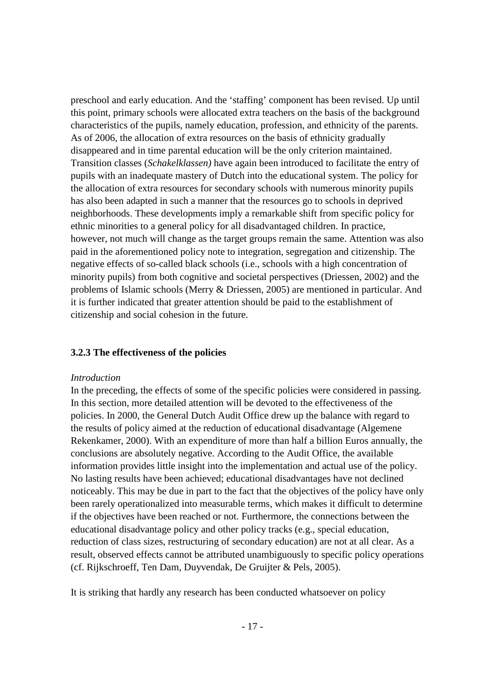preschool and early education. And the 'staffing' component has been revised. Up until this point, primary schools were allocated extra teachers on the basis of the background characteristics of the pupils, namely education, profession, and ethnicity of the parents. As of 2006, the allocation of extra resources on the basis of ethnicity gradually disappeared and in time parental education will be the only criterion maintained. Transition classes (*Schakelklassen)* have again been introduced to facilitate the entry of pupils with an inadequate mastery of Dutch into the educational system. The policy for the allocation of extra resources for secondary schools with numerous minority pupils has also been adapted in such a manner that the resources go to schools in deprived neighborhoods. These developments imply a remarkable shift from specific policy for ethnic minorities to a general policy for all disadvantaged children. In practice, however, not much will change as the target groups remain the same. Attention was also paid in the aforementioned policy note to integration, segregation and citizenship. The negative effects of so-called black schools (i.e., schools with a high concentration of minority pupils) from both cognitive and societal perspectives (Driessen, 2002) and the problems of Islamic schools (Merry & Driessen, 2005) are mentioned in particular. And it is further indicated that greater attention should be paid to the establishment of citizenship and social cohesion in the future.

### **3.2.3 The effectiveness of the policies**

### *Introduction*

In the preceding, the effects of some of the specific policies were considered in passing. In this section, more detailed attention will be devoted to the effectiveness of the policies. In 2000, the General Dutch Audit Office drew up the balance with regard to the results of policy aimed at the reduction of educational disadvantage (Algemene Rekenkamer, 2000). With an expenditure of more than half a billion Euros annually, the conclusions are absolutely negative. According to the Audit Office, the available information provides little insight into the implementation and actual use of the policy. No lasting results have been achieved; educational disadvantages have not declined noticeably. This may be due in part to the fact that the objectives of the policy have only been rarely operationalized into measurable terms, which makes it difficult to determine if the objectives have been reached or not. Furthermore, the connections between the educational disadvantage policy and other policy tracks (e.g., special education, reduction of class sizes, restructuring of secondary education) are not at all clear. As a result, observed effects cannot be attributed unambiguously to specific policy operations (cf. Rijkschroeff, Ten Dam, Duyvendak, De Gruijter & Pels, 2005).

It is striking that hardly any research has been conducted whatsoever on policy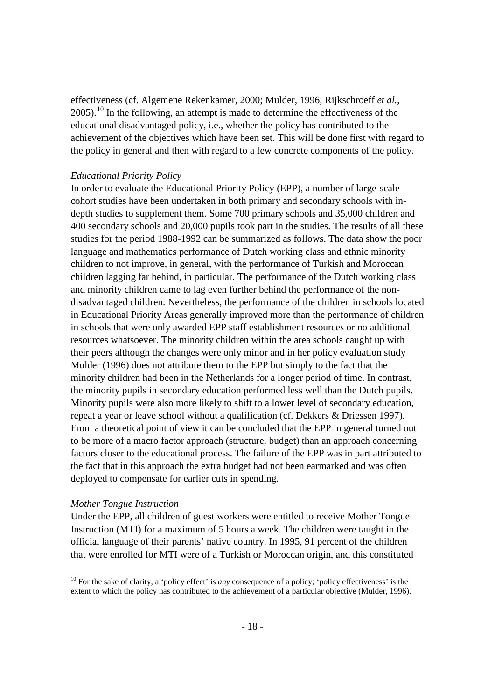effectiveness (cf. Algemene Rekenkamer, 2000; Mulder, 1996; Rijkschroeff *et al.*,  $2005$ ).<sup>[10](#page-7-0)</sup> In the following, an attempt is made to determine the effectiveness of the educational disadvantaged policy, i.e., whether the policy has contributed to the achievement of the objectives which have been set. This will be done first with regard to the policy in general and then with regard to a few concrete components of the policy.

### *Educational Priority Policy*

In order to evaluate the Educational Priority Policy (EPP), a number of large-scale cohort studies have been undertaken in both primary and secondary schools with indepth studies to supplement them. Some 700 primary schools and 35,000 children and 400 secondary schools and 20,000 pupils took part in the studies. The results of all these studies for the period 1988-1992 can be summarized as follows. The data show the poor language and mathematics performance of Dutch working class and ethnic minority children to not improve, in general, with the performance of Turkish and Moroccan children lagging far behind, in particular. The performance of the Dutch working class and minority children came to lag even further behind the performance of the nondisadvantaged children. Nevertheless, the performance of the children in schools located in Educational Priority Areas generally improved more than the performance of children in schools that were only awarded EPP staff establishment resources or no additional resources whatsoever. The minority children within the area schools caught up with their peers although the changes were only minor and in her policy evaluation study Mulder (1996) does not attribute them to the EPP but simply to the fact that the minority children had been in the Netherlands for a longer period of time. In contrast, the minority pupils in secondary education performed less well than the Dutch pupils. Minority pupils were also more likely to shift to a lower level of secondary education, repeat a year or leave school without a qualification (cf. Dekkers & Driessen 1997). From a theoretical point of view it can be concluded that the EPP in general turned out to be more of a macro factor approach (structure, budget) than an approach concerning factors closer to the educational process. The failure of the EPP was in part attributed to the fact that in this approach the extra budget had not been earmarked and was often deployed to compensate for earlier cuts in spending.

#### *Mother Tongue Instruction*

Under the EPP, all children of guest workers were entitled to receive Mother Tongue Instruction (MTI) for a maximum of 5 hours a week. The children were taught in the official language of their parents' native country. In 1995, 91 percent of the children that were enrolled for MTI were of a Turkish or Moroccan origin, and this constituted

<span id="page-17-0"></span><sup>&</sup>lt;sup>10</sup> For the sake of clarity, a 'policy effect' is *any* consequence of a policy; 'policy effectiveness' is the extent to which the policy has contributed to the achievement of a particular objective (Mulder, 1996).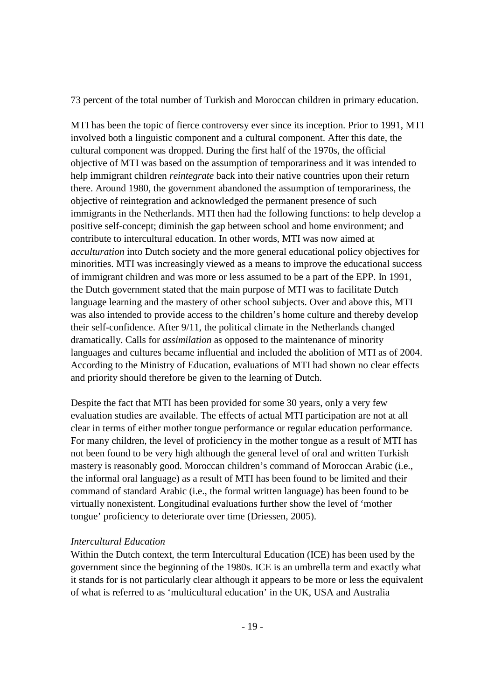73 percent of the total number of Turkish and Moroccan children in primary education.

MTI has been the topic of fierce controversy ever since its inception. Prior to 1991, MTI involved both a linguistic component and a cultural component. After this date, the cultural component was dropped. During the first half of the 1970s, the official objective of MTI was based on the assumption of temporariness and it was intended to help immigrant children *reintegrate* back into their native countries upon their return there. Around 1980, the government abandoned the assumption of temporariness, the objective of reintegration and acknowledged the permanent presence of such immigrants in the Netherlands. MTI then had the following functions: to help develop a positive self-concept; diminish the gap between school and home environment; and contribute to intercultural education. In other words, MTI was now aimed at *acculturation* into Dutch society and the more general educational policy objectives for minorities. MTI was increasingly viewed as a means to improve the educational success of immigrant children and was more or less assumed to be a part of the EPP. In 1991, the Dutch government stated that the main purpose of MTI was to facilitate Dutch language learning and the mastery of other school subjects. Over and above this, MTI was also intended to provide access to the children's home culture and thereby develop their self-confidence. After 9/11, the political climate in the Netherlands changed dramatically. Calls for *assimilation* as opposed to the maintenance of minority languages and cultures became influential and included the abolition of MTI as of 2004. According to the Ministry of Education, evaluations of MTI had shown no clear effects and priority should therefore be given to the learning of Dutch.

Despite the fact that MTI has been provided for some 30 years, only a very few evaluation studies are available. The effects of actual MTI participation are not at all clear in terms of either mother tongue performance or regular education performance. For many children, the level of proficiency in the mother tongue as a result of MTI has not been found to be very high although the general level of oral and written Turkish mastery is reasonably good. Moroccan children's command of Moroccan Arabic (i.e., the informal oral language) as a result of MTI has been found to be limited and their command of standard Arabic (i.e., the formal written language) has been found to be virtually nonexistent. Longitudinal evaluations further show the level of 'mother tongue' proficiency to deteriorate over time (Driessen, 2005).

# *Intercultural Education*

Within the Dutch context, the term Intercultural Education (ICE) has been used by the government since the beginning of the 1980s. ICE is an umbrella term and exactly what it stands for is not particularly clear although it appears to be more or less the equivalent of what is referred to as 'multicultural education' in the UK, USA and Australia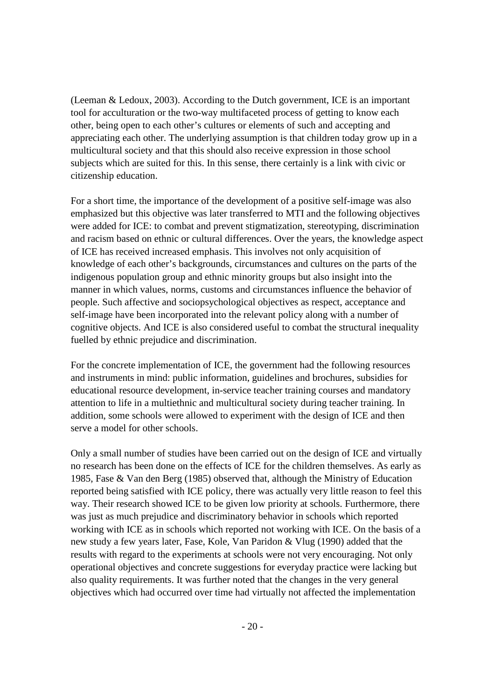(Leeman & Ledoux, 2003). According to the Dutch government, ICE is an important tool for acculturation or the two-way multifaceted process of getting to know each other, being open to each other's cultures or elements of such and accepting and appreciating each other. The underlying assumption is that children today grow up in a multicultural society and that this should also receive expression in those school subjects which are suited for this. In this sense, there certainly is a link with civic or citizenship education.

For a short time, the importance of the development of a positive self-image was also emphasized but this objective was later transferred to MTI and the following objectives were added for ICE: to combat and prevent stigmatization, stereotyping, discrimination and racism based on ethnic or cultural differences. Over the years, the knowledge aspect of ICE has received increased emphasis. This involves not only acquisition of knowledge of each other's backgrounds, circumstances and cultures on the parts of the indigenous population group and ethnic minority groups but also insight into the manner in which values, norms, customs and circumstances influence the behavior of people. Such affective and sociopsychological objectives as respect, acceptance and self-image have been incorporated into the relevant policy along with a number of cognitive objects. And ICE is also considered useful to combat the structural inequality fuelled by ethnic prejudice and discrimination.

For the concrete implementation of ICE, the government had the following resources and instruments in mind: public information, guidelines and brochures, subsidies for educational resource development, in-service teacher training courses and mandatory attention to life in a multiethnic and multicultural society during teacher training. In addition, some schools were allowed to experiment with the design of ICE and then serve a model for other schools.

Only a small number of studies have been carried out on the design of ICE and virtually no research has been done on the effects of ICE for the children themselves. As early as 1985, Fase & Van den Berg (1985) observed that, although the Ministry of Education reported being satisfied with ICE policy, there was actually very little reason to feel this way. Their research showed ICE to be given low priority at schools. Furthermore, there was just as much prejudice and discriminatory behavior in schools which reported working with ICE as in schools which reported not working with ICE. On the basis of a new study a few years later, Fase, Kole, Van Paridon & Vlug (1990) added that the results with regard to the experiments at schools were not very encouraging. Not only operational objectives and concrete suggestions for everyday practice were lacking but also quality requirements. It was further noted that the changes in the very general objectives which had occurred over time had virtually not affected the implementation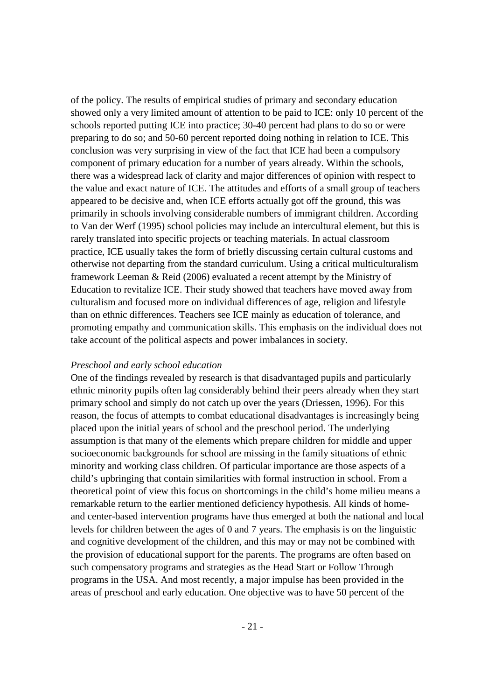of the policy. The results of empirical studies of primary and secondary education showed only a very limited amount of attention to be paid to ICE: only 10 percent of the schools reported putting ICE into practice; 30-40 percent had plans to do so or were preparing to do so; and 50-60 percent reported doing nothing in relation to ICE. This conclusion was very surprising in view of the fact that ICE had been a compulsory component of primary education for a number of years already. Within the schools, there was a widespread lack of clarity and major differences of opinion with respect to the value and exact nature of ICE. The attitudes and efforts of a small group of teachers appeared to be decisive and, when ICE efforts actually got off the ground, this was primarily in schools involving considerable numbers of immigrant children. According to Van der Werf (1995) school policies may include an intercultural element, but this is rarely translated into specific projects or teaching materials. In actual classroom practice, ICE usually takes the form of briefly discussing certain cultural customs and otherwise not departing from the standard curriculum. Using a critical multiculturalism framework Leeman & Reid (2006) evaluated a recent attempt by the Ministry of Education to revitalize ICE. Their study showed that teachers have moved away from culturalism and focused more on individual differences of age, religion and lifestyle than on ethnic differences. Teachers see ICE mainly as education of tolerance, and promoting empathy and communication skills. This emphasis on the individual does not take account of the political aspects and power imbalances in society.

### *Preschool and early school education*

One of the findings revealed by research is that disadvantaged pupils and particularly ethnic minority pupils often lag considerably behind their peers already when they start primary school and simply do not catch up over the years (Driessen, 1996). For this reason, the focus of attempts to combat educational disadvantages is increasingly being placed upon the initial years of school and the preschool period. The underlying assumption is that many of the elements which prepare children for middle and upper socioeconomic backgrounds for school are missing in the family situations of ethnic minority and working class children. Of particular importance are those aspects of a child's upbringing that contain similarities with formal instruction in school. From a theoretical point of view this focus on shortcomings in the child's home milieu means a remarkable return to the earlier mentioned deficiency hypothesis. All kinds of homeand center-based intervention programs have thus emerged at both the national and local levels for children between the ages of 0 and 7 years. The emphasis is on the linguistic and cognitive development of the children, and this may or may not be combined with the provision of educational support for the parents. The programs are often based on such compensatory programs and strategies as the Head Start or Follow Through programs in the USA. And most recently, a major impulse has been provided in the areas of preschool and early education. One objective was to have 50 percent of the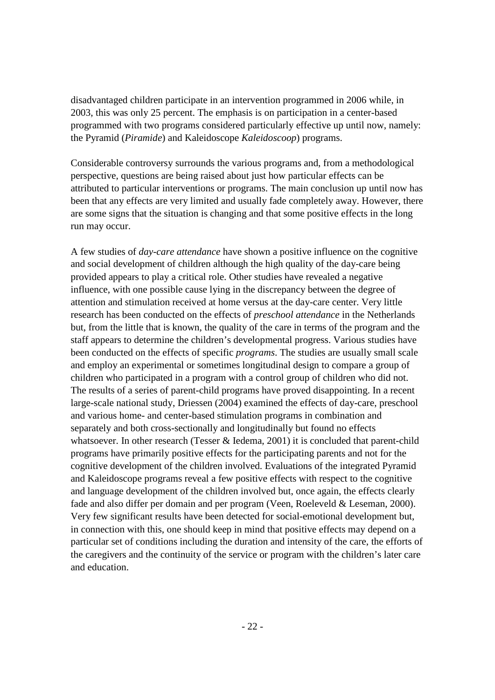disadvantaged children participate in an intervention programmed in 2006 while, in 2003, this was only 25 percent. The emphasis is on participation in a center-based programmed with two programs considered particularly effective up until now, namely: the Pyramid (*Piramide*) and Kaleidoscope *Kaleidoscoop*) programs.

Considerable controversy surrounds the various programs and, from a methodological perspective, questions are being raised about just how particular effects can be attributed to particular interventions or programs. The main conclusion up until now has been that any effects are very limited and usually fade completely away. However, there are some signs that the situation is changing and that some positive effects in the long run may occur.

A few studies of *day-care attendance* have shown a positive influence on the cognitive and social development of children although the high quality of the day-care being provided appears to play a critical role. Other studies have revealed a negative influence, with one possible cause lying in the discrepancy between the degree of attention and stimulation received at home versus at the day-care center. Very little research has been conducted on the effects of *preschool attendance* in the Netherlands but, from the little that is known, the quality of the care in terms of the program and the staff appears to determine the children's developmental progress. Various studies have been conducted on the effects of specific *programs*. The studies are usually small scale and employ an experimental or sometimes longitudinal design to compare a group of children who participated in a program with a control group of children who did not. The results of a series of parent-child programs have proved disappointing. In a recent large-scale national study, Driessen (2004) examined the effects of day-care, preschool and various home- and center-based stimulation programs in combination and separately and both cross-sectionally and longitudinally but found no effects whatsoever. In other research (Tesser & Iedema, 2001) it is concluded that parent-child programs have primarily positive effects for the participating parents and not for the cognitive development of the children involved. Evaluations of the integrated Pyramid and Kaleidoscope programs reveal a few positive effects with respect to the cognitive and language development of the children involved but, once again, the effects clearly fade and also differ per domain and per program (Veen, Roeleveld & Leseman, 2000). Very few significant results have been detected for social-emotional development but, in connection with this, one should keep in mind that positive effects may depend on a particular set of conditions including the duration and intensity of the care, the efforts of the caregivers and the continuity of the service or program with the children's later care and education.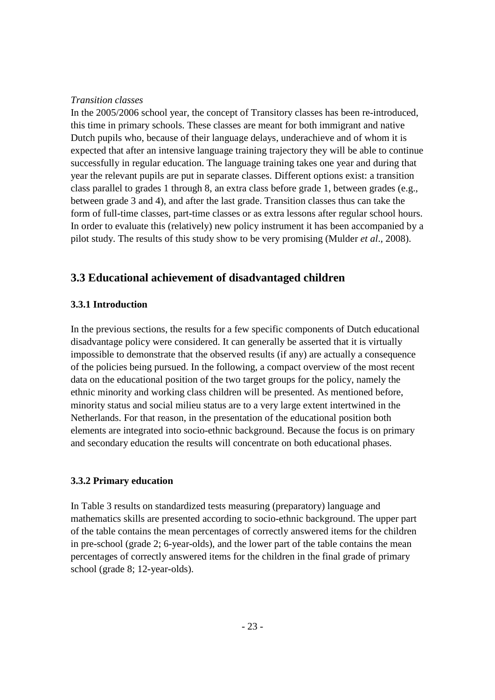### *Transition classes*

In the 2005/2006 school year, the concept of Transitory classes has been re-introduced, this time in primary schools. These classes are meant for both immigrant and native Dutch pupils who, because of their language delays, underachieve and of whom it is expected that after an intensive language training trajectory they will be able to continue successfully in regular education. The language training takes one year and during that year the relevant pupils are put in separate classes. Different options exist: a transition class parallel to grades 1 through 8, an extra class before grade 1, between grades (e.g., between grade 3 and 4), and after the last grade. Transition classes thus can take the form of full-time classes, part-time classes or as extra lessons after regular school hours. In order to evaluate this (relatively) new policy instrument it has been accompanied by a pilot study. The results of this study show to be very promising (Mulder *et al*., 2008).

# **3.3 Educational achievement of disadvantaged children**

### **3.3.1 Introduction**

In the previous sections, the results for a few specific components of Dutch educational disadvantage policy were considered. It can generally be asserted that it is virtually impossible to demonstrate that the observed results (if any) are actually a consequence of the policies being pursued. In the following, a compact overview of the most recent data on the educational position of the two target groups for the policy, namely the ethnic minority and working class children will be presented. As mentioned before, minority status and social milieu status are to a very large extent intertwined in the Netherlands. For that reason, in the presentation of the educational position both elements are integrated into socio-ethnic background. Because the focus is on primary and secondary education the results will concentrate on both educational phases.

### **3.3.2 Primary education**

In Table 3 results on standardized tests measuring (preparatory) language and mathematics skills are presented according to socio-ethnic background. The upper part of the table contains the mean percentages of correctly answered items for the children in pre-school (grade 2; 6-year-olds), and the lower part of the table contains the mean percentages of correctly answered items for the children in the final grade of primary school (grade 8; 12-year-olds).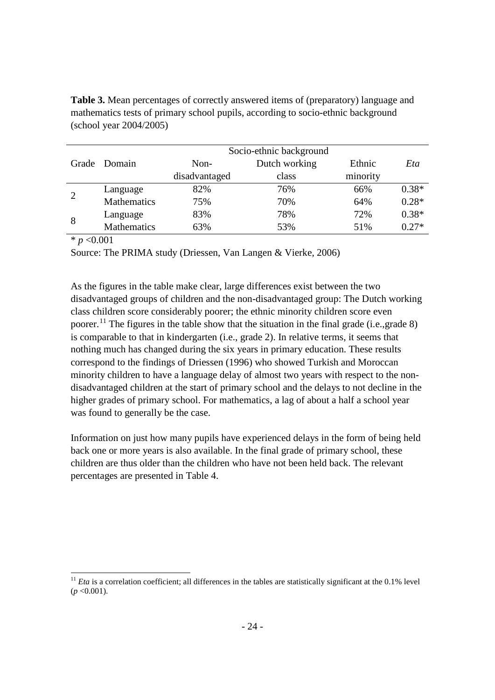**Table 3.** Mean percentages of correctly answered items of (preparatory) language and mathematics tests of primary school pupils, according to socio-ethnic background (school year 2004/2005)

|                |              | Socio-ethnic background |               |          |         |
|----------------|--------------|-------------------------|---------------|----------|---------|
|                | Grade Domain | Non-                    | Dutch working | Ethnic   | Eta     |
|                |              | disadvantaged           | class         | minority |         |
| $\overline{2}$ | Language     | 82%                     | 76%           | 66%      | $0.38*$ |
|                | Mathematics  | 75%                     | 70%           | 64%      | $0.28*$ |
| 8              | Language     | 83%                     | 78%           | 72%      | $0.38*$ |
|                | Mathematics  | 63%                     | 53%           | 51%      | $0.27*$ |

 $* p < 0.001$ 

Source: The PRIMA study (Driessen, Van Langen & Vierke, 2006)

As the figures in the table make clear, large differences exist between the two disadvantaged groups of children and the non-disadvantaged group: The Dutch working class children score considerably poorer; the ethnic minority children score even poorer.<sup>[11](#page-17-0)</sup> The figures in the table show that the situation in the final grade (i.e., grade 8) is comparable to that in kindergarten (i.e., grade 2). In relative terms, it seems that nothing much has changed during the six years in primary education. These results correspond to the findings of Driessen (1996) who showed Turkish and Moroccan minority children to have a language delay of almost two years with respect to the nondisadvantaged children at the start of primary school and the delays to not decline in the higher grades of primary school. For mathematics, a lag of about a half a school year was found to generally be the case.

<span id="page-23-0"></span>Information on just how many pupils have experienced delays in the form of being held back one or more years is also available. In the final grade of primary school, these children are thus older than the children who have not been held back. The relevant percentages are presented in Table 4.

 $11$  *Eta* is a correlation coefficient; all differences in the tables are statistically significant at the 0.1% level  $(p \le 0.001)$ .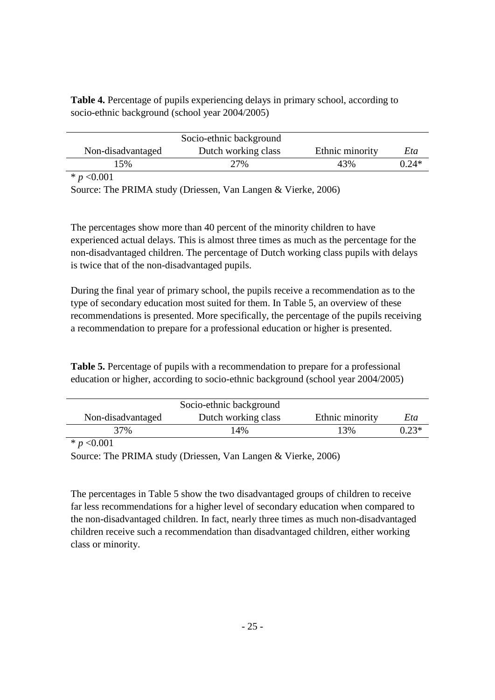**Table 4.** Percentage of pupils experiencing delays in primary school, according to socio-ethnic background (school year 2004/2005)

|                   | Socio-ethnic background |                 |         |
|-------------------|-------------------------|-----------------|---------|
| Non-disadvantaged | Dutch working class     | Ethnic minority | Eta     |
| 15%               | 27%                     | 43%             | $0.24*$ |
| _ _ _ _           |                         |                 |         |

\* *p* <0.001

Source: The PRIMA study (Driessen, Van Langen & Vierke, 2006)

The percentages show more than 40 percent of the minority children to have experienced actual delays. This is almost three times as much as the percentage for the non-disadvantaged children. The percentage of Dutch working class pupils with delays is twice that of the non-disadvantaged pupils.

During the final year of primary school, the pupils receive a recommendation as to the type of secondary education most suited for them. In Table 5, an overview of these recommendations is presented. More specifically, the percentage of the pupils receiving a recommendation to prepare for a professional education or higher is presented.

**Table 5.** Percentage of pupils with a recommendation to prepare for a professional education or higher, according to socio-ethnic background (school year 2004/2005)

|                   | Socio-ethnic background |                 |         |
|-------------------|-------------------------|-----------------|---------|
| Non-disadvantaged | Dutch working class     | Ethnic minority | Eta     |
| 37%               | 14%                     | 13%             | $0.23*$ |

\* *p* <0.001

Source: The PRIMA study (Driessen, Van Langen & Vierke, 2006)

The percentages in Table 5 show the two disadvantaged groups of children to receive far less recommendations for a higher level of secondary education when compared to the non-disadvantaged children. In fact, nearly three times as much non-disadvantaged children receive such a recommendation than disadvantaged children, either working class or minority.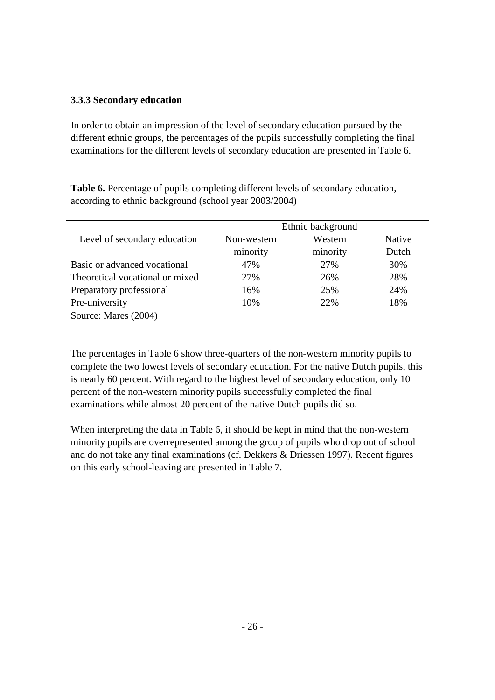# **3.3.3 Secondary education**

In order to obtain an impression of the level of secondary education pursued by the different ethnic groups, the percentages of the pupils successfully completing the final examinations for the different levels of secondary education are presented in Table 6.

**Table 6.** Percentage of pupils completing different levels of secondary education, according to ethnic background (school year 2003/2004)

|                                 | Ethnic background |          |        |
|---------------------------------|-------------------|----------|--------|
| Level of secondary education    | Non-western       | Western  | Native |
|                                 | minority          | minority | Dutch  |
| Basic or advanced vocational    | 47%               | 27%      | 30%    |
| Theoretical vocational or mixed | 27%               | 26%      | 28%    |
| Preparatory professional        | 16%               | 25%      | 24%    |
| Pre-university                  | 10%               | 22%      | 18%    |
| Source: Mares (2004)            |                   |          |        |

The percentages in Table 6 show three-quarters of the non-western minority pupils to complete the two lowest levels of secondary education. For the native Dutch pupils, this is nearly 60 percent. With regard to the highest level of secondary education, only 10 percent of the non-western minority pupils successfully completed the final examinations while almost 20 percent of the native Dutch pupils did so.

When interpreting the data in Table 6, it should be kept in mind that the non-western minority pupils are overrepresented among the group of pupils who drop out of school and do not take any final examinations (cf. Dekkers & Driessen 1997). Recent figures on this early school-leaving are presented in Table 7.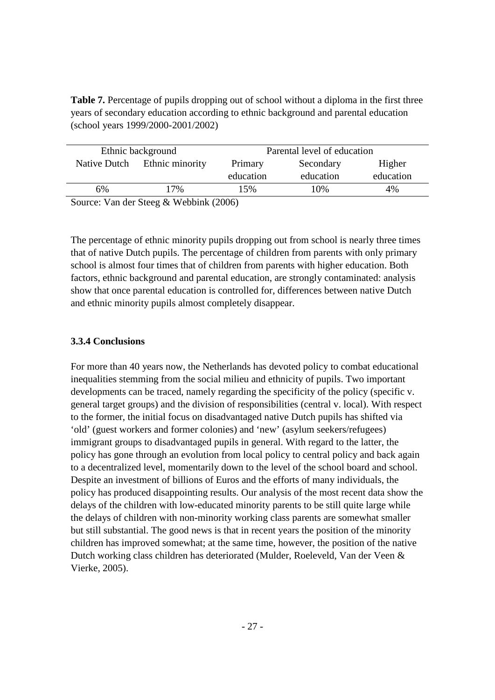**Table 7.** Percentage of pupils dropping out of school without a diploma in the first three years of secondary education according to ethnic background and parental education (school years 1999/2000-2001/2002)

|               | Ethnic background            |           | Parental level of education |           |
|---------------|------------------------------|-----------|-----------------------------|-----------|
| Native Dutch  | Ethnic minority              | Primary   | Secondary                   | Higher    |
|               |                              | education | education                   | education |
| 6%            | 17%                          | 15%       | 10%                         | 4%        |
| $\sim$<br>T 7 | 0.3371111777770071<br>$\sim$ |           |                             |           |

Source: Van der Steeg & Webbink (2006)

The percentage of ethnic minority pupils dropping out from school is nearly three times that of native Dutch pupils. The percentage of children from parents with only primary school is almost four times that of children from parents with higher education. Both factors, ethnic background and parental education, are strongly contaminated: analysis show that once parental education is controlled for, differences between native Dutch and ethnic minority pupils almost completely disappear.

### **3.3.4 Conclusions**

For more than 40 years now, the Netherlands has devoted policy to combat educational inequalities stemming from the social milieu and ethnicity of pupils. Two important developments can be traced, namely regarding the specificity of the policy (specific v. general target groups) and the division of responsibilities (central v. local). With respect to the former, the initial focus on disadvantaged native Dutch pupils has shifted via 'old' (guest workers and former colonies) and 'new' (asylum seekers/refugees) immigrant groups to disadvantaged pupils in general. With regard to the latter, the policy has gone through an evolution from local policy to central policy and back again to a decentralized level, momentarily down to the level of the school board and school. Despite an investment of billions of Euros and the efforts of many individuals, the policy has produced disappointing results. Our analysis of the most recent data show the delays of the children with low-educated minority parents to be still quite large while the delays of children with non-minority working class parents are somewhat smaller but still substantial. The good news is that in recent years the position of the minority children has improved somewhat; at the same time, however, the position of the native Dutch working class children has deteriorated (Mulder, Roeleveld, Van der Veen & Vierke, 2005).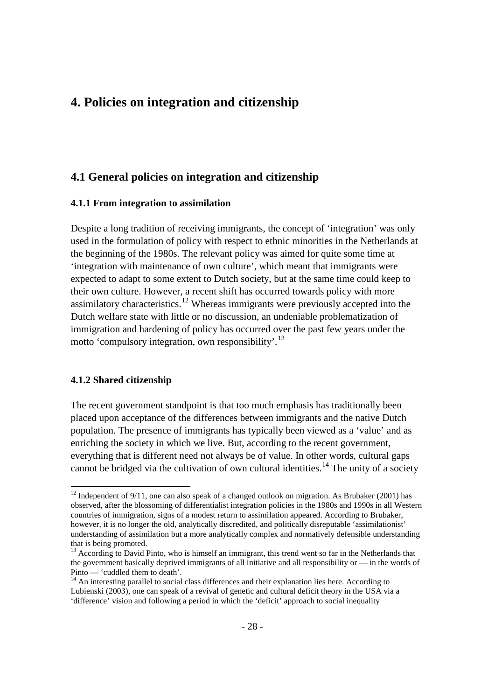# **4. Policies on integration and citizenship**

# **4.1 General policies on integration and citizenship**

### **4.1.1 From integration to assimilation**

Despite a long tradition of receiving immigrants, the concept of 'integration' was only used in the formulation of policy with respect to ethnic minorities in the Netherlands at the beginning of the 1980s. The relevant policy was aimed for quite some time at 'integration with maintenance of own culture', which meant that immigrants were expected to adapt to some extent to Dutch society, but at the same time could keep to their own culture. However, a recent shift has occurred towards policy with more assimilatory characteristics.<sup>[12](#page-23-0)</sup> Whereas immigrants were previously accepted into the Dutch welfare state with little or no discussion, an undeniable problematization of immigration and hardening of policy has occurred over the past few years under the motto 'compulsory integration, own responsibility'.<sup>[13](#page-27-0)</sup>

### **4.1.2 Shared citizenship**

The recent government standpoint is that too much emphasis has traditionally been placed upon acceptance of the differences between immigrants and the native Dutch population. The presence of immigrants has typically been viewed as a 'value' and as enriching the society in which we live. But, according to the recent government, everything that is different need not always be of value. In other words, cultural gaps cannot be bridged via the cultivation of own cultural identities.<sup>[14](#page-27-1)</sup> The unity of a society

 $12$  Independent of 9/11, one can also speak of a changed outlook on migration. As Brubaker (2001) has observed, after the blossoming of differentialist integration policies in the 1980s and 1990s in all Western countries of immigration, signs of a modest return to assimilation appeared. According to Brubaker, however, it is no longer the old, analytically discredited, and politically disreputable 'assimilationist' understanding of assimilation but a more analytically complex and normatively defensible understanding that is being promoted.

<span id="page-27-0"></span> $13$  According to David Pinto, who is himself an immigrant, this trend went so far in the Netherlands that the government basically deprived immigrants of all initiative and all responsibility or  $-$  in the words of Pinto  $-$  'cuddled them to death'.

<span id="page-27-2"></span><span id="page-27-1"></span> $^{14}$  An interesting parallel to social class differences and their explanation lies here. According to Lubienski (2003), one can speak of a revival of genetic and cultural deficit theory in the USA via a 'difference' vision and following a period in which the 'deficit' approach to social inequality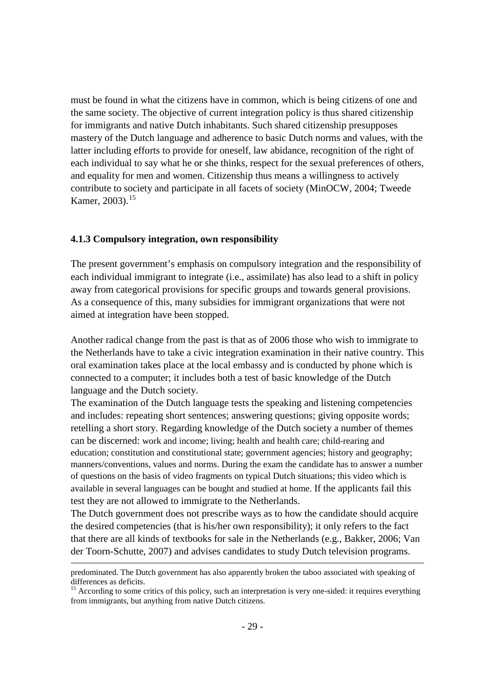must be found in what the citizens have in common, which is being citizens of one and the same society. The objective of current integration policy is thus shared citizenship for immigrants and native Dutch inhabitants. Such shared citizenship presupposes mastery of the Dutch language and adherence to basic Dutch norms and values, with the latter including efforts to provide for oneself, law abidance, recognition of the right of each individual to say what he or she thinks, respect for the sexual preferences of others, and equality for men and women. Citizenship thus means a willingness to actively contribute to society and participate in all facets of society (MinOCW, 2004; Tweede Kamer, 2003).<sup>[15](#page-27-2)</sup>

#### **4.1.3 Compulsory integration, own responsibility**

 $\overline{a}$ 

The present government's emphasis on compulsory integration and the responsibility of each individual immigrant to integrate (i.e., assimilate) has also lead to a shift in policy away from categorical provisions for specific groups and towards general provisions. As a consequence of this, many subsidies for immigrant organizations that were not aimed at integration have been stopped.

Another radical change from the past is that as of 2006 those who wish to immigrate to the Netherlands have to take a civic integration examination in their native country. This oral examination takes place at the local embassy and is conducted by phone which is connected to a computer; it includes both a test of basic knowledge of the Dutch language and the Dutch society.

The examination of the Dutch language tests the speaking and listening competencies and includes: repeating short sentences; answering questions; giving opposite words; retelling a short story. Regarding knowledge of the Dutch society a number of themes can be discerned: work and income; living; health and health care; child-rearing and education; constitution and constitutional state; government agencies; history and geography; manners/conventions, values and norms. During the exam the candidate has to answer a number of questions on the basis of video fragments on typical Dutch situations; this video which is available in several languages can be bought and studied at home. If the applicants fail this test they are not allowed to immigrate to the Netherlands.

The Dutch government does not prescribe ways as to how the candidate should acquire the desired competencies (that is his/her own responsibility); it only refers to the fact that there are all kinds of textbooks for sale in the Netherlands (e.g., Bakker, 2006; Van der Toorn-Schutte, 2007) and advises candidates to study Dutch television programs.

<span id="page-28-0"></span>predominated. The Dutch government has also apparently broken the taboo associated with speaking of differences as deficits.

<sup>&</sup>lt;sup>15</sup> According to some critics of this policy, such an interpretation is very one-sided: it requires everything from immigrants, but anything from native Dutch citizens.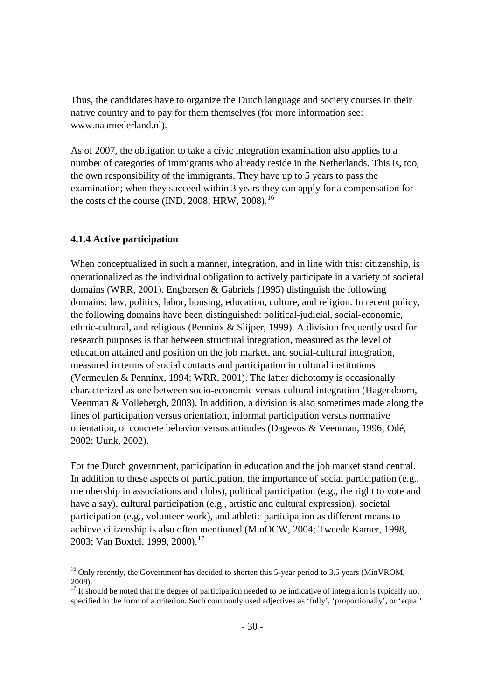Thus, the candidates have to organize the Dutch language and society courses in their native country and to pay for them themselves (for more information see: www.naarnederland.nl).

As of 2007, the obligation to take a civic integration examination also applies to a number of categories of immigrants who already reside in the Netherlands. This is, too, the own responsibility of the immigrants. They have up to 5 years to pass the examination; when they succeed within 3 years they can apply for a compensation for the costs of the course (IND, 2008; HRW, 2008).<sup>[16](#page-28-0)</sup>

### **4.1.4 Active participation**

When conceptualized in such a manner, integration, and in line with this: citizenship, is operationalized as the individual obligation to actively participate in a variety of societal domains (WRR, 2001). Engbersen & Gabriëls (1995) distinguish the following domains: law, politics, labor, housing, education, culture, and religion. In recent policy, the following domains have been distinguished: political-judicial, social-economic, ethnic-cultural, and religious (Penninx & Slijper, 1999). A division frequently used for research purposes is that between structural integration, measured as the level of education attained and position on the job market, and social-cultural integration, measured in terms of social contacts and participation in cultural institutions (Vermeulen & Penninx, 1994; WRR, 2001). The latter dichotomy is occasionally characterized as one between socio-economic versus cultural integration (Hagendoorn, Veenman & Vollebergh, 2003). In addition, a division is also sometimes made along the lines of participation versus orientation, informal participation versus normative orientation, or concrete behavior versus attitudes (Dagevos & Veenman, 1996; Odé, 2002; Uunk, 2002).

For the Dutch government, participation in education and the job market stand central. In addition to these aspects of participation, the importance of social participation (e.g., membership in associations and clubs), political participation (e.g., the right to vote and have a say), cultural participation (e.g., artistic and cultural expression), societal participation (e.g., volunteer work), and athletic participation as different means to achieve citizenship is also often mentioned (MinOCW, 2004; Tweede Kamer, 1998, 2003; Van Boxtel, 1999, 2000).<sup>[17](#page-29-0)</sup>

<sup>&</sup>lt;sup>16</sup> Only recently, the Government has decided to shorten this 5-year period to 3.5 years (MinVROM,

<span id="page-29-0"></span><sup>2008).&</sup>lt;br><sup>17</sup> It should be noted that the degree of participation needed to be indicative of integration is typically not specified in the form of a criterion. Such commonly used adjectives as 'fully', 'proportionally', or 'equal'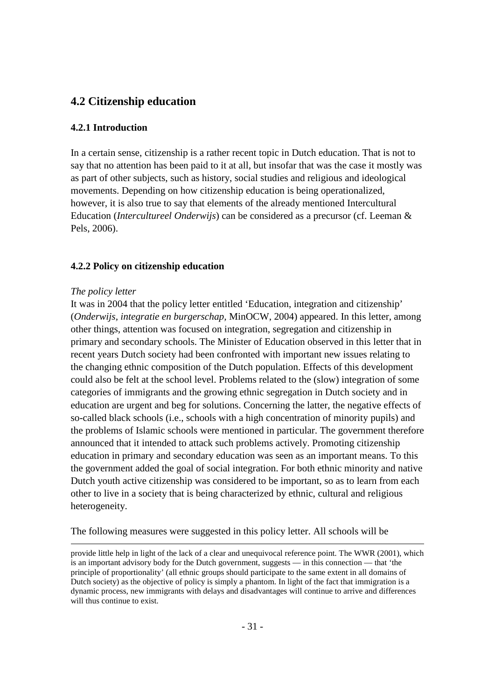# **4.2 Citizenship education**

### **4.2.1 Introduction**

In a certain sense, citizenship is a rather recent topic in Dutch education. That is not to say that no attention has been paid to it at all, but insofar that was the case it mostly was as part of other subjects, such as history, social studies and religious and ideological movements. Depending on how citizenship education is being operationalized, however, it is also true to say that elements of the already mentioned Intercultural Education (*Intercultureel Onderwijs*) can be considered as a precursor (cf. Leeman & Pels, 2006).

### **4.2.2 Policy on citizenship education**

### *The policy letter*

 $\overline{a}$ 

It was in 2004 that the policy letter entitled 'Education, integration and citizenship' (*Onderwijs, integratie en burgerschap,* MinOCW, 2004) appeared. In this letter, among other things, attention was focused on integration, segregation and citizenship in primary and secondary schools. The Minister of Education observed in this letter that in recent years Dutch society had been confronted with important new issues relating to the changing ethnic composition of the Dutch population. Effects of this development could also be felt at the school level. Problems related to the (slow) integration of some categories of immigrants and the growing ethnic segregation in Dutch society and in education are urgent and beg for solutions. Concerning the latter, the negative effects of so-called black schools (i.e., schools with a high concentration of minority pupils) and the problems of Islamic schools were mentioned in particular. The government therefore announced that it intended to attack such problems actively. Promoting citizenship education in primary and secondary education was seen as an important means. To this the government added the goal of social integration. For both ethnic minority and native Dutch youth active citizenship was considered to be important, so as to learn from each other to live in a society that is being characterized by ethnic, cultural and religious heterogeneity.

The following measures were suggested in this policy letter. All schools will be

provide little help in light of the lack of a clear and unequivocal reference point. The WWR (2001), which is an important advisory body for the Dutch government, suggests — in this connection — that 'the principle of proportionality' (all ethnic groups should participate to the same extent in all domains of Dutch society) as the objective of policy is simply a phantom. In light of the fact that immigration is a dynamic process, new immigrants with delays and disadvantages will continue to arrive and differences will thus continue to exist.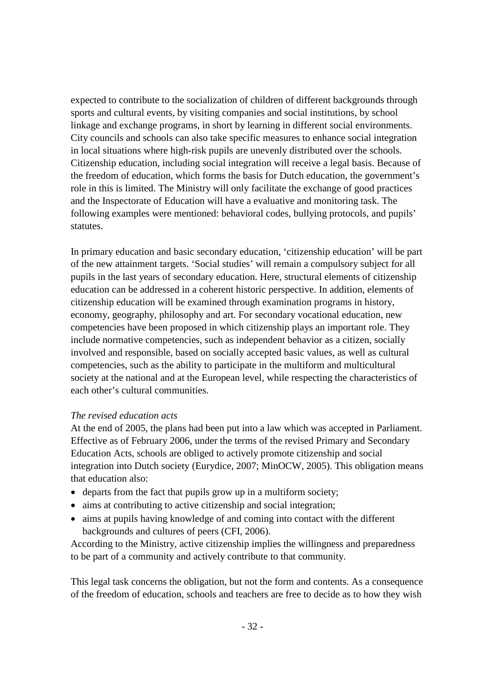expected to contribute to the socialization of children of different backgrounds through sports and cultural events, by visiting companies and social institutions, by school linkage and exchange programs, in short by learning in different social environments. City councils and schools can also take specific measures to enhance social integration in local situations where high-risk pupils are unevenly distributed over the schools. Citizenship education, including social integration will receive a legal basis. Because of the freedom of education, which forms the basis for Dutch education, the government's role in this is limited. The Ministry will only facilitate the exchange of good practices and the Inspectorate of Education will have a evaluative and monitoring task. The following examples were mentioned: behavioral codes, bullying protocols, and pupils' statutes.

In primary education and basic secondary education, 'citizenship education' will be part of the new attainment targets. 'Social studies' will remain a compulsory subject for all pupils in the last years of secondary education. Here, structural elements of citizenship education can be addressed in a coherent historic perspective. In addition, elements of citizenship education will be examined through examination programs in history, economy, geography, philosophy and art. For secondary vocational education, new competencies have been proposed in which citizenship plays an important role. They include normative competencies, such as independent behavior as a citizen, socially involved and responsible, based on socially accepted basic values, as well as cultural competencies, such as the ability to participate in the multiform and multicultural society at the national and at the European level, while respecting the characteristics of each other's cultural communities.

### *The revised education acts*

At the end of 2005, the plans had been put into a law which was accepted in Parliament. Effective as of February 2006, under the terms of the revised Primary and Secondary Education Acts, schools are obliged to actively promote citizenship and social integration into Dutch society (Eurydice, 2007; MinOCW, 2005). This obligation means that education also:

- departs from the fact that pupils grow up in a multiform society;
- aims at contributing to active citizenship and social integration;
- aims at pupils having knowledge of and coming into contact with the different backgrounds and cultures of peers (CFI, 2006).

According to the Ministry, active citizenship implies the willingness and preparedness to be part of a community and actively contribute to that community.

This legal task concerns the obligation, but not the form and contents. As a consequence of the freedom of education, schools and teachers are free to decide as to how they wish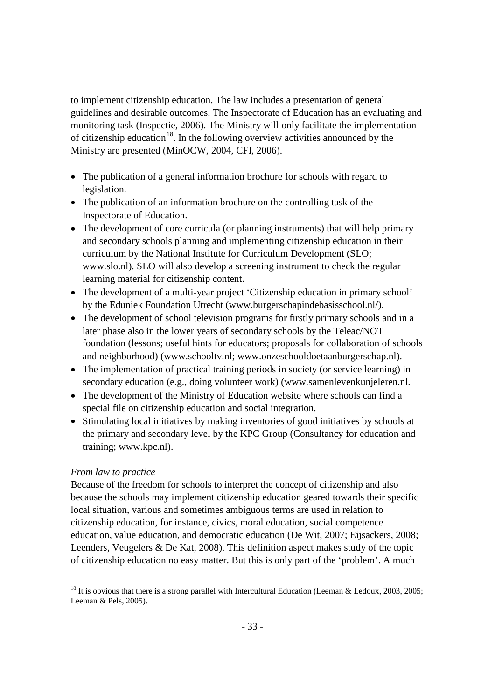to implement citizenship education. The law includes a presentation of general guidelines and desirable outcomes. The Inspectorate of Education has an evaluating and monitoring task (Inspectie, 2006). The Ministry will only facilitate the implementation of citizenship education<sup>[18](#page-29-0)</sup>. In the following overview activities announced by the Ministry are presented (MinOCW, 2004, CFI, 2006).

- The publication of a general information brochure for schools with regard to legislation.
- The publication of an information brochure on the controlling task of the Inspectorate of Education.
- The development of core curricula (or planning instruments) that will help primary and secondary schools planning and implementing citizenship education in their curriculum by the National Institute for Curriculum Development (SLO; www.slo.nl). SLO will also develop a screening instrument to check the regular learning material for citizenship content.
- The development of a multi-year project 'Citizenship education in primary school' by the Eduniek Foundation Utrecht (www.burgerschapindebasisschool.nl/).
- The development of school television programs for firstly primary schools and in a later phase also in the lower years of secondary schools by the Teleac/NOT foundation (lessons; useful hints for educators; proposals for collaboration of schools and neighborhood) (www.schooltv.nl; www.onzeschooldoetaanburgerschap.nl).
- The implementation of practical training periods in society (or service learning) in secondary education (e.g., doing volunteer work) (www.samenlevenkunjeleren.nl.
- The development of the Ministry of Education website where schools can find a special file on citizenship education and social integration.
- Stimulating local initiatives by making inventories of good initiatives by schools at the primary and secondary level by the KPC Group (Consultancy for education and training; www.kpc.nl).

# *From law to practice*

<span id="page-32-0"></span>Because of the freedom for schools to interpret the concept of citizenship and also because the schools may implement citizenship education geared towards their specific local situation, various and sometimes ambiguous terms are used in relation to citizenship education, for instance, civics, moral education, social competence education, value education, and democratic education (De Wit, 2007; Eijsackers, 2008; Leenders, Veugelers & De Kat, 2008). This definition aspect makes study of the topic of citizenship education no easy matter. But this is only part of the 'problem'. A much

<sup>&</sup>lt;sup>18</sup> It is obvious that there is a strong parallel with Intercultural Education (Leeman & Ledoux, 2003, 2005; Leeman & Pels, 2005).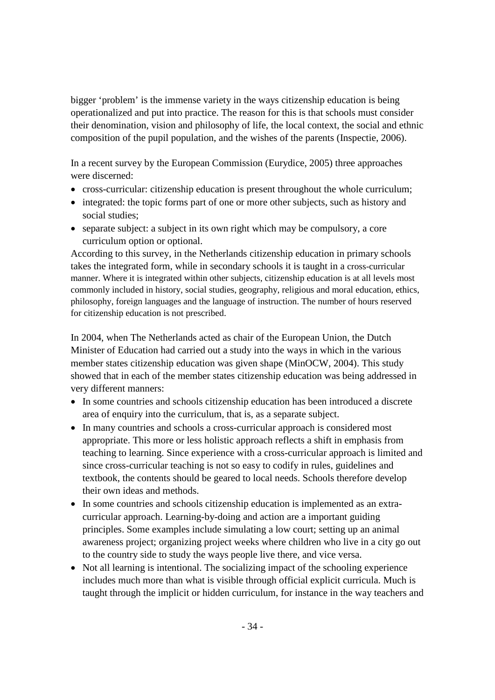bigger 'problem' is the immense variety in the ways citizenship education is being operationalized and put into practice. The reason for this is that schools must consider their denomination, vision and philosophy of life, the local context, the social and ethnic composition of the pupil population, and the wishes of the parents (Inspectie, 2006).

In a recent survey by the European Commission (Eurydice, 2005) three approaches were discerned:

- cross-curricular: citizenship education is present throughout the whole curriculum;
- integrated: the topic forms part of one or more other subjects, such as history and social studies;
- separate subject: a subject in its own right which may be compulsory, a core curriculum option or optional.

According to this survey, in the Netherlands citizenship education in primary schools takes the integrated form, while in secondary schools it is taught in a cross-curricular manner. Where it is integrated within other subjects, citizenship education is at all levels most commonly included in history, social studies, geography, religious and moral education, ethics, philosophy, foreign languages and the language of instruction. The number of hours reserved for citizenship education is not prescribed.

In 2004, when The Netherlands acted as chair of the European Union, the Dutch Minister of Education had carried out a study into the ways in which in the various member states citizenship education was given shape (MinOCW, 2004). This study showed that in each of the member states citizenship education was being addressed in very different manners:

- In some countries and schools citizenship education has been introduced a discrete area of enquiry into the curriculum, that is, as a separate subject.
- In many countries and schools a cross-curricular approach is considered most appropriate. This more or less holistic approach reflects a shift in emphasis from teaching to learning. Since experience with a cross-curricular approach is limited and since cross-curricular teaching is not so easy to codify in rules, guidelines and textbook, the contents should be geared to local needs. Schools therefore develop their own ideas and methods.
- In some countries and schools citizenship education is implemented as an extracurricular approach. Learning-by-doing and action are a important guiding principles. Some examples include simulating a low court; setting up an animal awareness project; organizing project weeks where children who live in a city go out to the country side to study the ways people live there, and vice versa.
- Not all learning is intentional. The socializing impact of the schooling experience includes much more than what is visible through official explicit curricula. Much is taught through the implicit or hidden curriculum, for instance in the way teachers and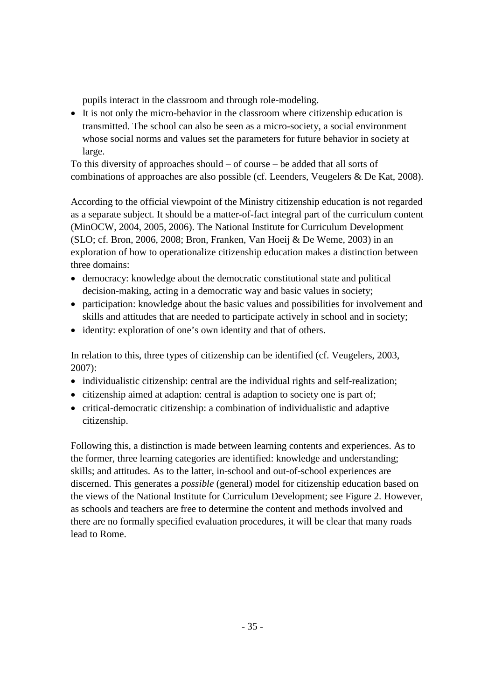pupils interact in the classroom and through role-modeling.

• It is not only the micro-behavior in the classroom where citizenship education is transmitted. The school can also be seen as a micro-society, a social environment whose social norms and values set the parameters for future behavior in society at large.

To this diversity of approaches should – of course – be added that all sorts of combinations of approaches are also possible (cf. Leenders, Veugelers & De Kat, 2008).

According to the official viewpoint of the Ministry citizenship education is not regarded as a separate subject. It should be a matter-of-fact integral part of the curriculum content (MinOCW, 2004, 2005, 2006). The National Institute for Curriculum Development (SLO; cf. Bron, 2006, 2008; Bron, Franken, Van Hoeij & De Weme, 2003) in an exploration of how to operationalize citizenship education makes a distinction between three domains:

- democracy: knowledge about the democratic constitutional state and political decision-making, acting in a democratic way and basic values in society;
- participation: knowledge about the basic values and possibilities for involvement and skills and attitudes that are needed to participate actively in school and in society;
- identity: exploration of one's own identity and that of others.

In relation to this, three types of citizenship can be identified (cf. Veugelers, 2003, 2007):

- individualistic citizenship: central are the individual rights and self-realization;
- citizenship aimed at adaption: central is adaption to society one is part of;
- critical-democratic citizenship: a combination of individualistic and adaptive citizenship.

Following this, a distinction is made between learning contents and experiences. As to the former, three learning categories are identified: knowledge and understanding; skills; and attitudes. As to the latter, in-school and out-of-school experiences are discerned. This generates a *possible* (general) model for citizenship education based on the views of the National Institute for Curriculum Development; see Figure 2. However, as schools and teachers are free to determine the content and methods involved and there are no formally specified evaluation procedures, it will be clear that many roads lead to Rome.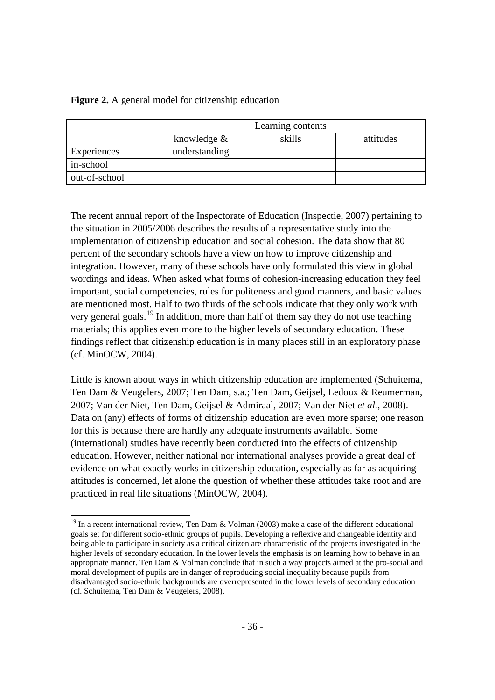### **Figure 2.** A general model for citizenship education

|               | Learning contents                    |  |  |  |
|---------------|--------------------------------------|--|--|--|
|               | skills<br>knowledge $&$<br>attitudes |  |  |  |
| Experiences   | understanding                        |  |  |  |
| in-school     |                                      |  |  |  |
| out-of-school |                                      |  |  |  |

The recent annual report of the Inspectorate of Education (Inspectie, 2007) pertaining to the situation in 2005/2006 describes the results of a representative study into the implementation of citizenship education and social cohesion. The data show that 80 percent of the secondary schools have a view on how to improve citizenship and integration. However, many of these schools have only formulated this view in global wordings and ideas. When asked what forms of cohesion-increasing education they feel important, social competencies, rules for politeness and good manners, and basic values are mentioned most. Half to two thirds of the schools indicate that they only work with very general goals.<sup>[19](#page-32-0)</sup> In addition, more than half of them say they do not use teaching materials; this applies even more to the higher levels of secondary education. These findings reflect that citizenship education is in many places still in an exploratory phase (cf. MinOCW, 2004).

Little is known about ways in which citizenship education are implemented (Schuitema, Ten Dam & Veugelers, 2007; Ten Dam, s.a.; Ten Dam, Geijsel, Ledoux & Reumerman, 2007; Van der Niet, Ten Dam, Geijsel & Admiraal, 2007; Van der Niet *et al.*, 2008). Data on (any) effects of forms of citizenship education are even more sparse; one reason for this is because there are hardly any adequate instruments available. Some (international) studies have recently been conducted into the effects of citizenship education. However, neither national nor international analyses provide a great deal of evidence on what exactly works in citizenship education, especially as far as acquiring attitudes is concerned, let alone the question of whether these attitudes take root and are practiced in real life situations (MinOCW, 2004).

<span id="page-35-0"></span> $19$  In a recent international review, Ten Dam & Volman (2003) make a case of the different educational goals set for different socio-ethnic groups of pupils. Developing a reflexive and changeable identity and being able to participate in society as a critical citizen are characteristic of the projects investigated in the higher levels of secondary education. In the lower levels the emphasis is on learning how to behave in an appropriate manner. Ten Dam & Volman conclude that in such a way projects aimed at the pro-social and moral development of pupils are in danger of reproducing social inequality because pupils from disadvantaged socio-ethnic backgrounds are overrepresented in the lower levels of secondary education (cf. Schuitema, Ten Dam & Veugelers, 2008).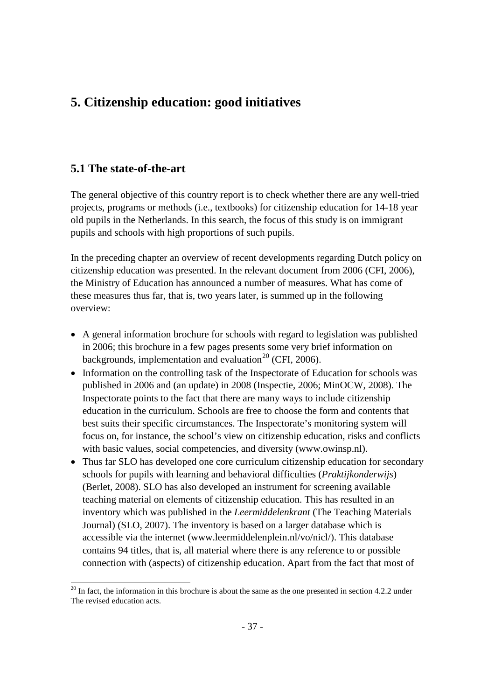# **5. Citizenship education: good initiatives**

# **5.1 The state-of-the-art**

The general objective of this country report is to check whether there are any well-tried projects, programs or methods (i.e., textbooks) for citizenship education for 14-18 year old pupils in the Netherlands. In this search, the focus of this study is on immigrant pupils and schools with high proportions of such pupils.

In the preceding chapter an overview of recent developments regarding Dutch policy on citizenship education was presented. In the relevant document from 2006 (CFI, 2006), the Ministry of Education has announced a number of measures. What has come of these measures thus far, that is, two years later, is summed up in the following overview:

- A general information brochure for schools with regard to legislation was published in 2006; this brochure in a few pages presents some very brief information on backgrounds, implementation and evaluation<sup>[20](#page-35-0)</sup> (CFI, 2006).
- Information on the controlling task of the Inspectorate of Education for schools was published in 2006 and (an update) in 2008 (Inspectie, 2006; MinOCW, 2008). The Inspectorate points to the fact that there are many ways to include citizenship education in the curriculum. Schools are free to choose the form and contents that best suits their specific circumstances. The Inspectorate's monitoring system will focus on, for instance, the school's view on citizenship education, risks and conflicts with basic values, social competencies, and diversity (www.owinsp.nl).
- Thus far SLO has developed one core curriculum citizenship education for secondary schools for pupils with learning and behavioral difficulties (*Praktijkonderwijs*) (Berlet, 2008). SLO has also developed an instrument for screening available teaching material on elements of citizenship education. This has resulted in an inventory which was published in the *Leermiddelenkrant* (The Teaching Materials Journal) (SLO, 2007). The inventory is based on a larger database which is accessible via the internet (www.leermiddelenplein.nl/vo/nicl/). This database contains 94 titles, that is, all material where there is any reference to or possible connection with (aspects) of citizenship education. Apart from the fact that most of

<span id="page-36-0"></span> $20$  In fact, the information in this brochure is about the same as the one presented in section 4.2.2 under The revised education acts.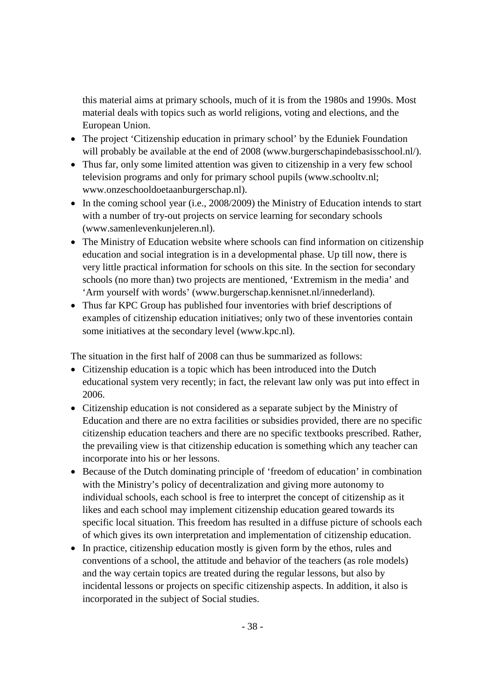this material aims at primary schools, much of it is from the 1980s and 1990s. Most material deals with topics such as world religions, voting and elections, and the European Union.

- The project 'Citizenship education in primary school' by the Eduniek Foundation will probably be available at the end of 2008 (www.burgerschapindebasisschool.nl/).
- Thus far, only some limited attention was given to citizenship in a very few school television programs and only for primary school pupils (www.schooltv.nl; www.onzeschooldoetaanburgerschap.nl).
- In the coming school year (i.e., 2008/2009) the Ministry of Education intends to start with a number of try-out projects on service learning for secondary schools (www.samenlevenkunjeleren.nl).
- The Ministry of Education website where schools can find information on citizenship education and social integration is in a developmental phase. Up till now, there is very little practical information for schools on this site. In the section for secondary schools (no more than) two projects are mentioned, 'Extremism in the media' and 'Arm yourself with words' (www.burgerschap.kennisnet.nl/innederland).
- Thus far KPC Group has published four inventories with brief descriptions of examples of citizenship education initiatives; only two of these inventories contain some initiatives at the secondary level (www.kpc.nl).

The situation in the first half of 2008 can thus be summarized as follows:

- Citizenship education is a topic which has been introduced into the Dutch educational system very recently; in fact, the relevant law only was put into effect in 2006.
- Citizenship education is not considered as a separate subject by the Ministry of Education and there are no extra facilities or subsidies provided, there are no specific citizenship education teachers and there are no specific textbooks prescribed. Rather, the prevailing view is that citizenship education is something which any teacher can incorporate into his or her lessons.
- Because of the Dutch dominating principle of 'freedom of education' in combination with the Ministry's policy of decentralization and giving more autonomy to individual schools, each school is free to interpret the concept of citizenship as it likes and each school may implement citizenship education geared towards its specific local situation. This freedom has resulted in a diffuse picture of schools each of which gives its own interpretation and implementation of citizenship education.
- In practice, citizenship education mostly is given form by the ethos, rules and conventions of a school, the attitude and behavior of the teachers (as role models) and the way certain topics are treated during the regular lessons, but also by incidental lessons or projects on specific citizenship aspects. In addition, it also is incorporated in the subject of Social studies.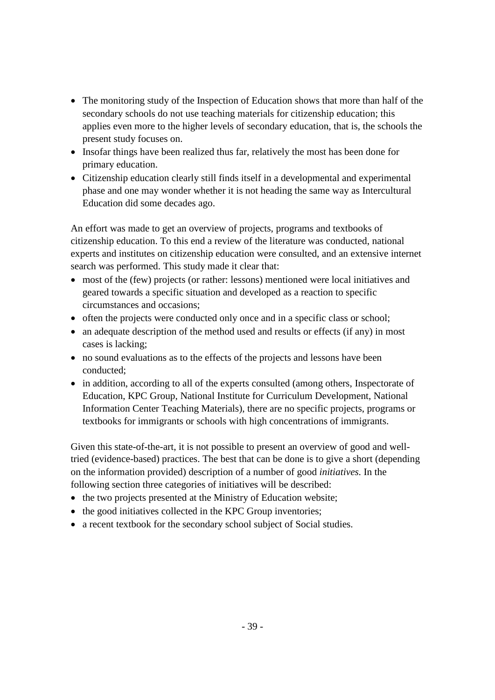- The monitoring study of the Inspection of Education shows that more than half of the secondary schools do not use teaching materials for citizenship education; this applies even more to the higher levels of secondary education, that is, the schools the present study focuses on.
- Insofar things have been realized thus far, relatively the most has been done for primary education.
- Citizenship education clearly still finds itself in a developmental and experimental phase and one may wonder whether it is not heading the same way as Intercultural Education did some decades ago.

An effort was made to get an overview of projects, programs and textbooks of citizenship education. To this end a review of the literature was conducted, national experts and institutes on citizenship education were consulted, and an extensive internet search was performed. This study made it clear that:

- most of the (few) projects (or rather: lessons) mentioned were local initiatives and geared towards a specific situation and developed as a reaction to specific circumstances and occasions;
- often the projects were conducted only once and in a specific class or school;
- an adequate description of the method used and results or effects (if any) in most cases is lacking;
- no sound evaluations as to the effects of the projects and lessons have been conducted;
- in addition, according to all of the experts consulted (among others, Inspectorate of Education, KPC Group, National Institute for Curriculum Development, National Information Center Teaching Materials), there are no specific projects, programs or textbooks for immigrants or schools with high concentrations of immigrants.

Given this state-of-the-art, it is not possible to present an overview of good and welltried (evidence-based) practices. The best that can be done is to give a short (depending on the information provided) description of a number of good *initiatives.* In the following section three categories of initiatives will be described:

- the two projects presented at the Ministry of Education website;
- the good initiatives collected in the KPC Group inventories;
- a recent textbook for the secondary school subject of Social studies.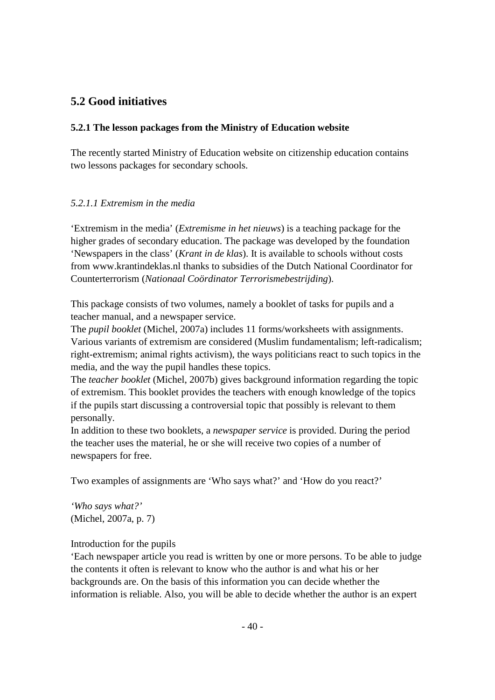# **5.2 Good initiatives**

# **5.2.1 The lesson packages from the Ministry of Education website**

The recently started Ministry of Education website on citizenship education contains two lessons packages for secondary schools.

# *5.2.1.1 Extremism in the media*

'Extremism in the media' (*Extremisme in het nieuws*) is a teaching package for the higher grades of secondary education. The package was developed by the foundation 'Newspapers in the class' (*Krant in de klas*). It is available to schools without costs from www.krantindeklas.nl thanks to subsidies of the Dutch National Coordinator for Counterterrorism (*Nationaal Coördinator Terrorismebestrijding*).

This package consists of two volumes, namely a booklet of tasks for pupils and a teacher manual, and a newspaper service.

The *pupil booklet* (Michel, 2007a) includes 11 forms/worksheets with assignments. Various variants of extremism are considered (Muslim fundamentalism; left-radicalism; right-extremism; animal rights activism), the ways politicians react to such topics in the media, and the way the pupil handles these topics.

The *teacher booklet* (Michel, 2007b) gives background information regarding the topic of extremism. This booklet provides the teachers with enough knowledge of the topics if the pupils start discussing a controversial topic that possibly is relevant to them personally.

In addition to these two booklets, a *newspaper service* is provided. During the period the teacher uses the material, he or she will receive two copies of a number of newspapers for free.

Two examples of assignments are 'Who says what?' and 'How do you react?'

*'Who says what?'* (Michel, 2007a, p. 7)

# Introduction for the pupils

'Each newspaper article you read is written by one or more persons. To be able to judge the contents it often is relevant to know who the author is and what his or her backgrounds are. On the basis of this information you can decide whether the information is reliable. Also, you will be able to decide whether the author is an expert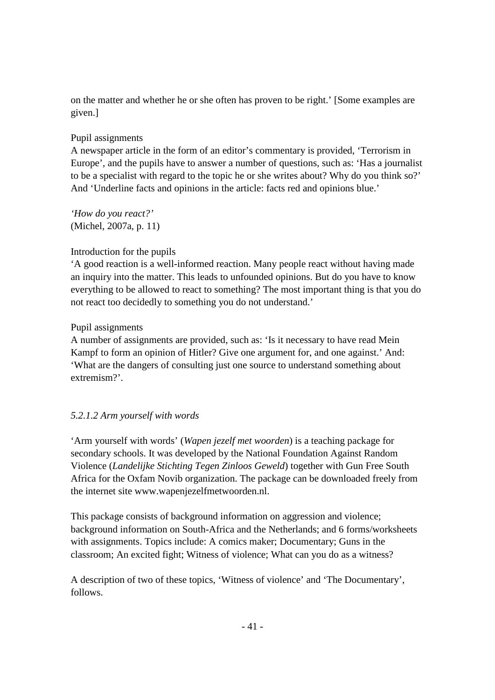on the matter and whether he or she often has proven to be right.' [Some examples are given.]

# Pupil assignments

A newspaper article in the form of an editor's commentary is provided, 'Terrorism in Europe', and the pupils have to answer a number of questions, such as: 'Has a journalist to be a specialist with regard to the topic he or she writes about? Why do you think so?' And 'Underline facts and opinions in the article: facts red and opinions blue.'

*'How do you react?'* (Michel, 2007a, p. 11)

# Introduction for the pupils

'A good reaction is a well-informed reaction. Many people react without having made an inquiry into the matter. This leads to unfounded opinions. But do you have to know everything to be allowed to react to something? The most important thing is that you do not react too decidedly to something you do not understand.'

# Pupil assignments

A number of assignments are provided, such as: 'Is it necessary to have read Mein Kampf to form an opinion of Hitler? Give one argument for, and one against.' And: 'What are the dangers of consulting just one source to understand something about extremism?'.

# *5.2.1.2 Arm yourself with words*

'Arm yourself with words' (*Wapen jezelf met woorden*) is a teaching package for secondary schools. It was developed by the National Foundation Against Random Violence (*Landelijke Stichting Tegen Zinloos Geweld*) together with Gun Free South Africa for the Oxfam Novib organization. The package can be downloaded freely from the internet site www.wapenjezelfmetwoorden.nl.

This package consists of background information on aggression and violence; background information on South-Africa and the Netherlands; and 6 forms/worksheets with assignments. Topics include: A comics maker; Documentary; Guns in the classroom; An excited fight; Witness of violence; What can you do as a witness?

A description of two of these topics, 'Witness of violence' and 'The Documentary', follows.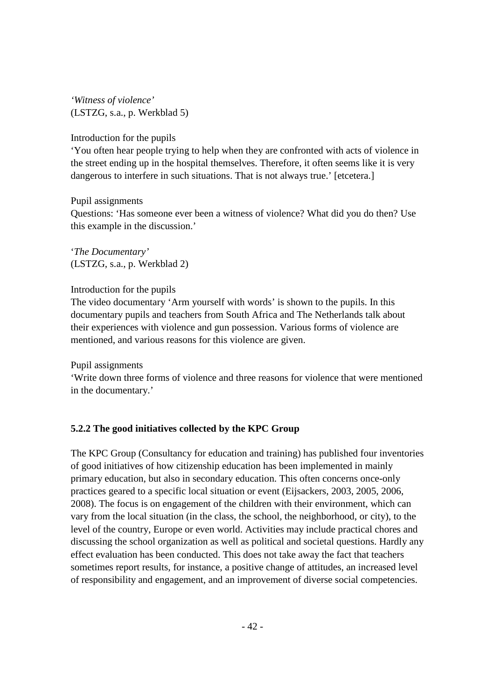*'Witness of violence'* (LSTZG, s.a., p. Werkblad 5)

Introduction for the pupils

'You often hear people trying to help when they are confronted with acts of violence in the street ending up in the hospital themselves. Therefore, it often seems like it is very dangerous to interfere in such situations. That is not always true.' [etcetera.]

Pupil assignments

Questions: 'Has someone ever been a witness of violence? What did you do then? Use this example in the discussion.'

'*The Documentary'* (LSTZG, s.a., p. Werkblad 2)

### Introduction for the pupils

The video documentary 'Arm yourself with words' is shown to the pupils. In this documentary pupils and teachers from South Africa and The Netherlands talk about their experiences with violence and gun possession. Various forms of violence are mentioned, and various reasons for this violence are given.

Pupil assignments

'Write down three forms of violence and three reasons for violence that were mentioned in the documentary.'

# **5.2.2 The good initiatives collected by the KPC Group**

The KPC Group (Consultancy for education and training) has published four inventories of good initiatives of how citizenship education has been implemented in mainly primary education, but also in secondary education. This often concerns once-only practices geared to a specific local situation or event (Eijsackers, 2003, 2005, 2006, 2008). The focus is on engagement of the children with their environment, which can vary from the local situation (in the class, the school, the neighborhood, or city), to the level of the country, Europe or even world. Activities may include practical chores and discussing the school organization as well as political and societal questions. Hardly any effect evaluation has been conducted. This does not take away the fact that teachers sometimes report results, for instance, a positive change of attitudes, an increased level of responsibility and engagement, and an improvement of diverse social competencies.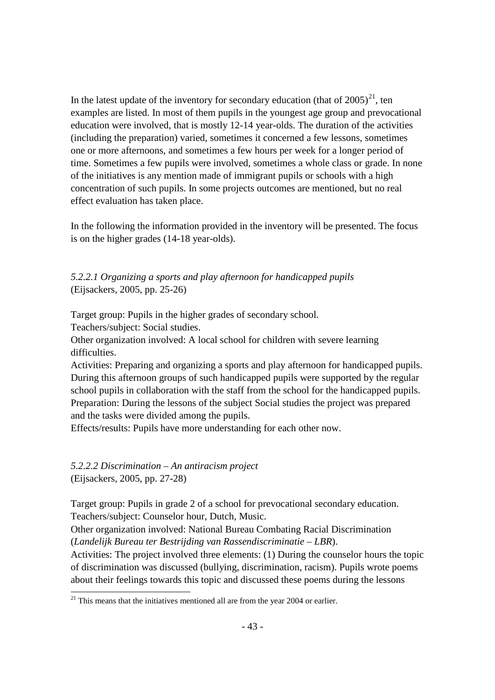In the latest update of the inventory for secondary education (that of  $2005)^{21}$ , ten examples are listed. In most of them pupils in the youngest age group and prevocational education were involved, that is mostly 12-14 year-olds. The duration of the activities (including the preparation) varied, sometimes it concerned a few lessons, sometimes one or more afternoons, and sometimes a few hours per week for a longer period of time. Sometimes a few pupils were involved, sometimes a whole class or grade. In none of the initiatives is any mention made of immigrant pupils or schools with a high concentration of such pupils. In some projects outcomes are mentioned, but no real effect evaluation has taken place.

In the following the information provided in the inventory will be presented. The focus is on the higher grades (14-18 year-olds).

*5.2.2.1 Organizing a sports and play afternoon for handicapped pupils* (Eijsackers, 2005, pp. 25-26)

Target group: Pupils in the higher grades of secondary school.

Teachers/subject: Social studies.

Other organization involved: A local school for children with severe learning difficulties.

Activities: Preparing and organizing a sports and play afternoon for handicapped pupils. During this afternoon groups of such handicapped pupils were supported by the regular school pupils in collaboration with the staff from the school for the handicapped pupils. Preparation: During the lessons of the subject Social studies the project was prepared and the tasks were divided among the pupils.

Effects/results: Pupils have more understanding for each other now.

*5.2.2.2 Discrimination – An antiracism project* (Eijsackers, 2005, pp. 27-28)

Target group: Pupils in grade 2 of a school for prevocational secondary education. Teachers/subject: Counselor hour, Dutch, Music.

Other organization involved: National Bureau Combating Racial Discrimination (*Landelijk Bureau ter Bestrijding van Rassendiscriminatie – LBR*).

Activities: The project involved three elements: (1) During the counselor hours the topic of discrimination was discussed (bullying, discrimination, racism). Pupils wrote poems about their feelings towards this topic and discussed these poems during the lessons

 $21$  This means that the initiatives mentioned all are from the year 2004 or earlier.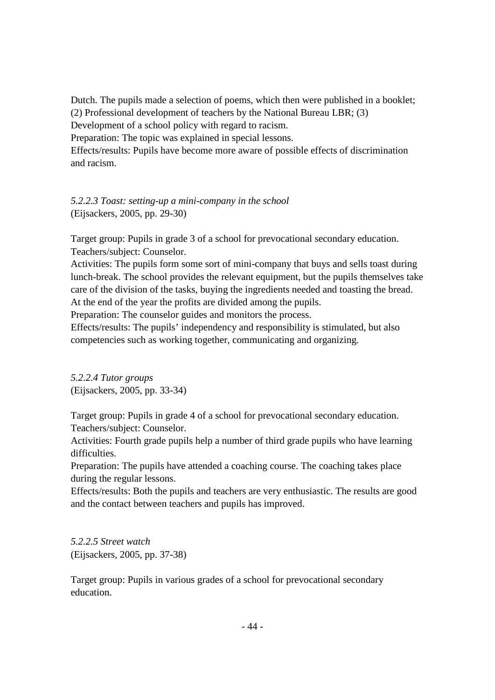Dutch. The pupils made a selection of poems, which then were published in a booklet; (2) Professional development of teachers by the National Bureau LBR; (3) Development of a school policy with regard to racism.

Preparation: The topic was explained in special lessons.

Effects/results: Pupils have become more aware of possible effects of discrimination and racism.

*5.2.2.3 Toast: setting-up a mini-company in the school* (Eijsackers, 2005, pp. 29-30)

Target group: Pupils in grade 3 of a school for prevocational secondary education. Teachers/subject: Counselor.

Activities: The pupils form some sort of mini-company that buys and sells toast during lunch-break. The school provides the relevant equipment, but the pupils themselves take care of the division of the tasks, buying the ingredients needed and toasting the bread. At the end of the year the profits are divided among the pupils.

Preparation: The counselor guides and monitors the process.

Effects/results: The pupils' independency and responsibility is stimulated, but also competencies such as working together, communicating and organizing.

*5.2.2.4 Tutor groups* (Eijsackers, 2005, pp. 33-34)

Target group: Pupils in grade 4 of a school for prevocational secondary education. Teachers/subject: Counselor.

Activities: Fourth grade pupils help a number of third grade pupils who have learning difficulties.

Preparation: The pupils have attended a coaching course. The coaching takes place during the regular lessons.

Effects/results: Both the pupils and teachers are very enthusiastic. The results are good and the contact between teachers and pupils has improved.

*5.2.2.5 Street watch* (Eijsackers, 2005, pp. 37-38)

Target group: Pupils in various grades of a school for prevocational secondary education.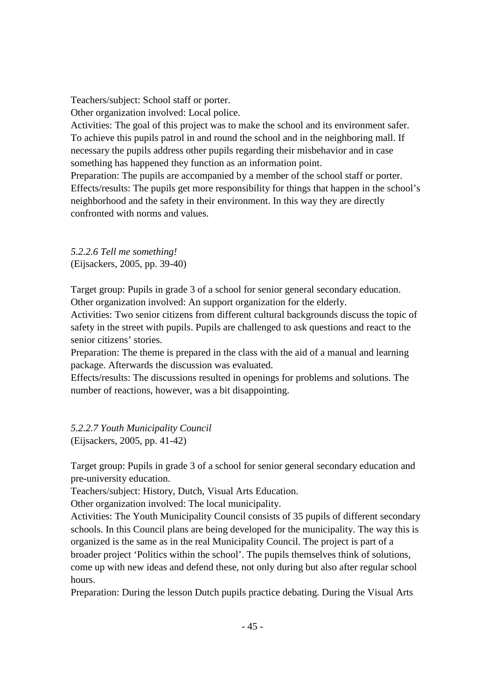Teachers/subject: School staff or porter.

Other organization involved: Local police.

Activities: The goal of this project was to make the school and its environment safer. To achieve this pupils patrol in and round the school and in the neighboring mall. If necessary the pupils address other pupils regarding their misbehavior and in case something has happened they function as an information point.

Preparation: The pupils are accompanied by a member of the school staff or porter. Effects/results: The pupils get more responsibility for things that happen in the school's neighborhood and the safety in their environment. In this way they are directly confronted with norms and values.

*5.2.2.6 Tell me something!* (Eijsackers, 2005, pp. 39-40)

Target group: Pupils in grade 3 of a school for senior general secondary education. Other organization involved: An support organization for the elderly.

Activities: Two senior citizens from different cultural backgrounds discuss the topic of safety in the street with pupils. Pupils are challenged to ask questions and react to the senior citizens' stories.

Preparation: The theme is prepared in the class with the aid of a manual and learning package. Afterwards the discussion was evaluated.

Effects/results: The discussions resulted in openings for problems and solutions. The number of reactions, however, was a bit disappointing.

*5.2.2.7 Youth Municipality Council*  (Eijsackers, 2005, pp. 41-42)

Target group: Pupils in grade 3 of a school for senior general secondary education and pre-university education.

Teachers/subject: History, Dutch, Visual Arts Education.

Other organization involved: The local municipality.

Activities: The Youth Municipality Council consists of 35 pupils of different secondary schools. In this Council plans are being developed for the municipality. The way this is organized is the same as in the real Municipality Council. The project is part of a broader project 'Politics within the school'. The pupils themselves think of solutions, come up with new ideas and defend these, not only during but also after regular school hours.

Preparation: During the lesson Dutch pupils practice debating. During the Visual Arts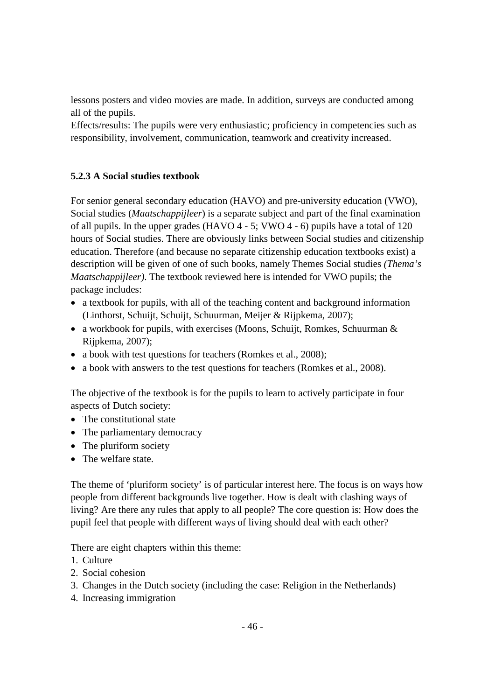lessons posters and video movies are made. In addition, surveys are conducted among all of the pupils.

Effects/results: The pupils were very enthusiastic; proficiency in competencies such as responsibility, involvement, communication, teamwork and creativity increased.

# **5.2.3 A Social studies textbook**

For senior general secondary education (HAVO) and pre-university education (VWO), Social studies (*Maatschappijleer*) is a separate subject and part of the final examination of all pupils. In the upper grades (HAVO 4 - 5; VWO 4 - 6) pupils have a total of 120 hours of Social studies. There are obviously links between Social studies and citizenship education. Therefore (and because no separate citizenship education textbooks exist) a description will be given of one of such books, namely Themes Social studies *(Thema's Maatschappijleer)*. The textbook reviewed here is intended for VWO pupils; the package includes:

- a textbook for pupils, with all of the teaching content and background information (Linthorst, Schuijt, Schuijt, Schuurman, Meijer & Rijpkema, 2007);
- a workbook for pupils, with exercises (Moons, Schuijt, Romkes, Schuurman  $\&$ Rijpkema, 2007);
- a book with test questions for teachers (Romkes et al., 2008);
- a book with answers to the test questions for teachers (Romkes et al., 2008).

The objective of the textbook is for the pupils to learn to actively participate in four aspects of Dutch society:

- The constitutional state
- The parliamentary democracy
- The pluriform society
- The welfare state.

The theme of 'pluriform society' is of particular interest here. The focus is on ways how people from different backgrounds live together. How is dealt with clashing ways of living? Are there any rules that apply to all people? The core question is: How does the pupil feel that people with different ways of living should deal with each other?

There are eight chapters within this theme:

- 1. Culture
- 2. Social cohesion
- 3. Changes in the Dutch society (including the case: Religion in the Netherlands)
- 4. Increasing immigration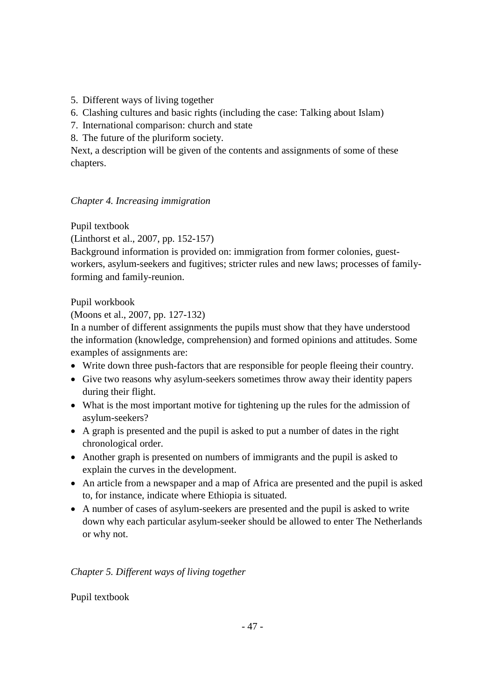- 5. Different ways of living together
- 6. Clashing cultures and basic rights (including the case: Talking about Islam)
- 7. International comparison: church and state
- 8. The future of the pluriform society.

Next, a description will be given of the contents and assignments of some of these chapters.

# *Chapter 4. Increasing immigration*

Pupil textbook

(Linthorst et al., 2007, pp. 152-157)

Background information is provided on: immigration from former colonies, guestworkers, asylum-seekers and fugitives; stricter rules and new laws; processes of familyforming and family-reunion.

Pupil workbook

(Moons et al., 2007, pp. 127-132)

In a number of different assignments the pupils must show that they have understood the information (knowledge, comprehension) and formed opinions and attitudes. Some examples of assignments are:

- Write down three push-factors that are responsible for people fleeing their country.
- Give two reasons why asylum-seekers sometimes throw away their identity papers during their flight.
- What is the most important motive for tightening up the rules for the admission of asylum-seekers?
- A graph is presented and the pupil is asked to put a number of dates in the right chronological order.
- Another graph is presented on numbers of immigrants and the pupil is asked to explain the curves in the development.
- An article from a newspaper and a map of Africa are presented and the pupil is asked to, for instance, indicate where Ethiopia is situated.
- A number of cases of asylum-seekers are presented and the pupil is asked to write down why each particular asylum-seeker should be allowed to enter The Netherlands or why not.

# *Chapter 5. Different ways of living together*

Pupil textbook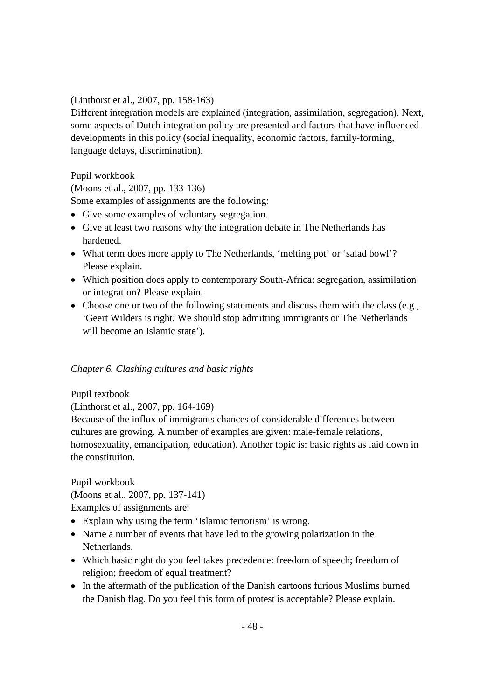(Linthorst et al., 2007, pp. 158-163)

Different integration models are explained (integration, assimilation, segregation). Next, some aspects of Dutch integration policy are presented and factors that have influenced developments in this policy (social inequality, economic factors, family-forming, language delays, discrimination).

Pupil workbook

(Moons et al., 2007, pp. 133-136)

Some examples of assignments are the following:

- Give some examples of voluntary segregation.
- Give at least two reasons why the integration debate in The Netherlands has hardened.
- What term does more apply to The Netherlands, 'melting pot' or 'salad bowl'? Please explain.
- Which position does apply to contemporary South-Africa: segregation, assimilation or integration? Please explain.
- Choose one or two of the following statements and discuss them with the class (e.g., 'Geert Wilders is right. We should stop admitting immigrants or The Netherlands will become an Islamic state').

# *Chapter 6. Clashing cultures and basic rights*

Pupil textbook

(Linthorst et al., 2007, pp. 164-169)

Because of the influx of immigrants chances of considerable differences between cultures are growing. A number of examples are given: male-female relations, homosexuality, emancipation, education). Another topic is: basic rights as laid down in the constitution.

Pupil workbook

(Moons et al., 2007, pp. 137-141)

Examples of assignments are:

- Explain why using the term 'Islamic terrorism' is wrong.
- Name a number of events that have led to the growing polarization in the Netherlands.
- Which basic right do you feel takes precedence: freedom of speech; freedom of religion; freedom of equal treatment?
- In the aftermath of the publication of the Danish cartoons furious Muslims burned the Danish flag. Do you feel this form of protest is acceptable? Please explain.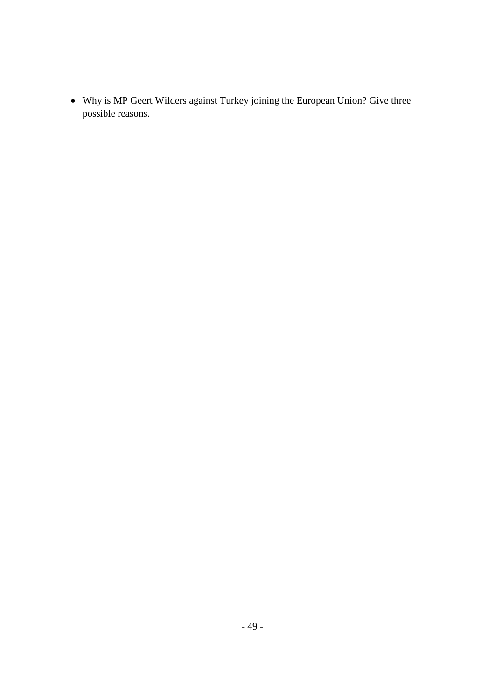• Why is MP Geert Wilders against Turkey joining the European Union? Give three possible reasons.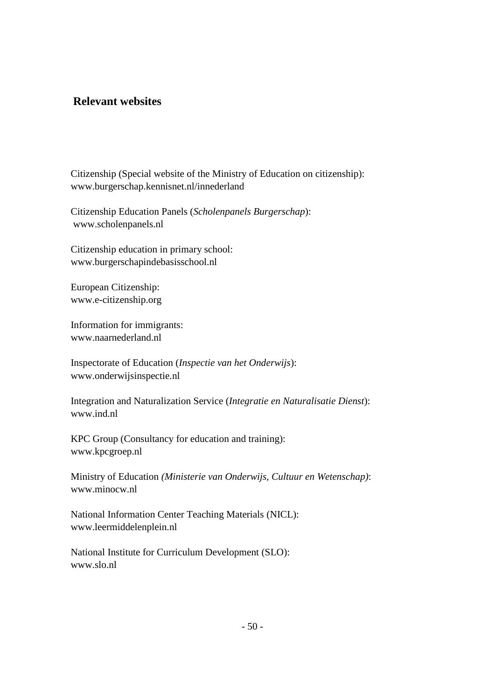# **Relevant websites**

Citizenship (Special website of the Ministry of Education on citizenship): www.burgerschap.kennisnet.nl/innederland

Citizenship Education Panels (*Scholenpanels Burgerschap*): www.scholenpanels.nl

Citizenship education in primary school: www.burgerschapindebasisschool.nl

European Citizenship: www.e-citizenship.org

Information for immigrants: www.naarnederland.nl

Inspectorate of Education (*Inspectie van het Onderwijs*): www.onderwijsinspectie.nl

Integration and Naturalization Service (*Integratie en Naturalisatie Dienst*): www.ind.nl

KPC Group (Consultancy for education and training): www.kpcgroep.nl

Ministry of Education *(Ministerie van Onderwijs, Cultuur en Wetenschap)*: www.minocw.nl

National Information Center Teaching Materials (NICL): www.leermiddelenplein.nl

National Institute for Curriculum Development (SLO): www.slo.nl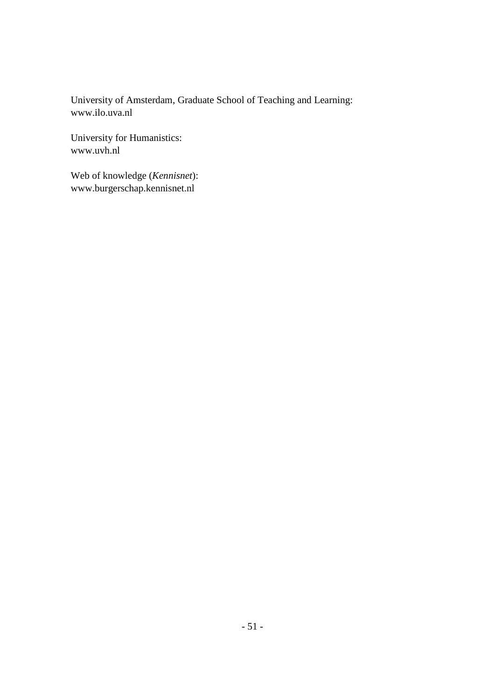University of Amsterdam, Graduate School of Teaching and Learning: www.ilo.uva.nl

University for Humanistics: www.uvh.nl

Web of knowledge (*Kennisnet*): www.burgerschap.kennisnet.nl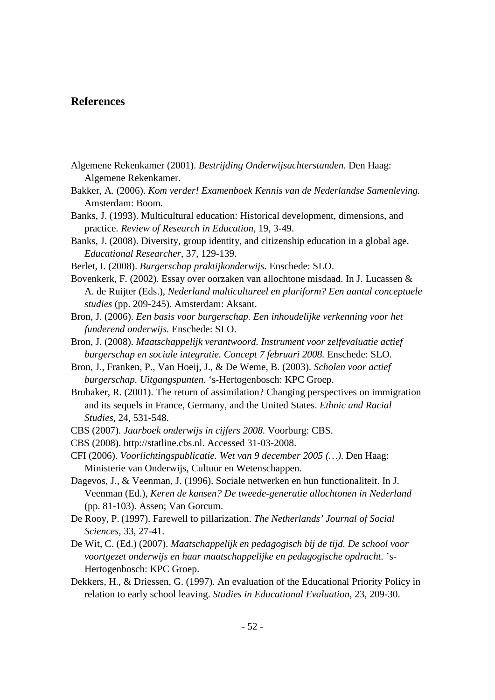### **References**

- Algemene Rekenkamer (2001). *Bestrijding Onderwijsachterstanden.* Den Haag: Algemene Rekenkamer.
- Bakker, A. (2006). *Kom verder! Examenboek Kennis van de Nederlandse Samenleving.* Amsterdam: Boom.
- Banks, J. (1993). Multicultural education: Historical development, dimensions, and practice. *Review of Research in Education*, 19, 3-49.
- Banks, J. (2008). Diversity, group identity, and citizenship education in a global age. *Educational Researcher*, 37, 129-139.
- Berlet, I. (2008). *Burgerschap praktijkonderwijs.* Enschede: SLO.
- Bovenkerk, F. (2002). Essay over oorzaken van allochtone misdaad. In J. Lucassen & A. de Ruijter (Eds.), *Nederland multicultureel en pluriform? Een aantal conceptuele studies* (pp. 209-245). Amsterdam: Aksant.
- Bron, J. (2006). *Een basis voor burgerschap. Een inhoudelijke verkenning voor het funderend onderwijs.* Enschede: SLO.
- Bron, J. (2008). *Maatschappelijk verantwoord. Instrument voor zelfevaluatie actief burgerschap en sociale integratie. Concept 7 februari 2008.* Enschede: SLO.
- Bron, J., Franken, P., Van Hoeij, J., & De Weme, B. (2003). *Scholen voor actief burgerschap. Uitgangspunten.* 's-Hertogenbosch: KPC Groep.
- Brubaker, R. (2001). The return of assimilation? Changing perspectives on immigration and its sequels in France, Germany, and the United States. *Ethnic and Racial Studies*, 24, 531-548.
- CBS (2007). *Jaarboek onderwijs in cijfers 2008.* Voorburg: CBS.
- CBS (2008). http://statline.cbs.nl. Accessed 31-03-2008.
- CFI (2006). *Voorlichtingspublicatie. Wet van 9 december 2005 (…)*. Den Haag: Ministerie van Onderwijs, Cultuur en Wetenschappen.
- Dagevos, J., & Veenman, J. (1996). Sociale netwerken en hun functionaliteit. In J. Veenman (Ed.), *Keren de kansen? De tweede-generatie allochtonen in Nederland* (pp. 81-103)*.* Assen; Van Gorcum.
- De Rooy, P. (1997). Farewell to pillarization. *The Netherlands' Journal of Social Sciences,* 33, 27-41.
- De Wit, C. (Ed.) (2007). *Maatschappelijk en pedagogisch bij de tijd. De school voor voortgezet onderwijs en haar maatschappelijke en pedagogische opdracht.* 's-Hertogenbosch: KPC Groep.
- Dekkers, H., & Driessen, G. (1997). An evaluation of the Educational Priority Policy in relation to early school leaving. *Studies in Educational Evaluation*, 23, 209-30.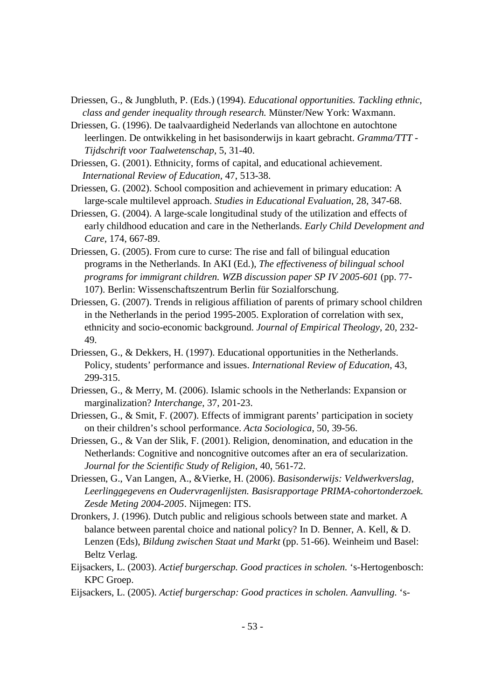- Driessen, G., & Jungbluth, P. (Eds.) (1994). *Educational opportunities. Tackling ethnic, class and gender inequality through research.* Münster/New York: Waxmann.
- Driessen, G. (1996). De taalvaardigheid Nederlands van allochtone en autochtone leerlingen. De ontwikkeling in het basisonderwijs in kaart gebracht. *Gramma/TTT - Tijdschrift voor Taalwetenschap*, 5, 31-40.
- Driessen, G. (2001). Ethnicity, forms of capital, and educational achievement. *International Review of Education,* 47, 513-38.
- Driessen, G. (2002). School composition and achievement in primary education: A large-scale multilevel approach. *Studies in Educational Evaluation*, 28, 347-68.
- Driessen, G. (2004). A large-scale longitudinal study of the utilization and effects of early childhood education and care in the Netherlands. *Early Child Development and Care*, 174, 667-89.
- Driessen, G. (2005). From cure to curse: The rise and fall of bilingual education programs in the Netherlands. In AKI (Ed.), *The effectiveness of bilingual school programs for immigrant children. WZB discussion paper SP IV 2005-601* (pp. 77- 107). Berlin: Wissenschaftszentrum Berlin für Sozialforschung.
- Driessen, G. (2007). Trends in religious affiliation of parents of primary school children in the Netherlands in the period 1995-2005. Exploration of correlation with sex, ethnicity and socio-economic background. *Journal of Empirical Theology*, 20, 232- 49.
- Driessen, G., & Dekkers, H. (1997). Educational opportunities in the Netherlands. Policy, students' performance and issues. *International Review of Education*, 43, 299-315.
- Driessen, G., & Merry, M. (2006). Islamic schools in the Netherlands: Expansion or marginalization? *Interchange*, 37, 201-23.
- Driessen, G., & Smit, F. (2007). Effects of immigrant parents' participation in society on their children's school performance. *Acta Sociologica*, 50, 39-56.
- Driessen, G., & Van der Slik, F. (2001). Religion, denomination, and education in the Netherlands: Cognitive and noncognitive outcomes after an era of secularization. *Journal for the Scientific Study of Religion*, 40, 561-72.
- Driessen, G., Van Langen, A., &Vierke, H. (2006). *Basisonderwijs: Veldwerkverslag, Leerlinggegevens en Oudervragenlijsten. Basisrapportage PRIMA-cohortonderzoek. Zesde Meting 2004-2005*. Nijmegen: ITS.
- Dronkers, J. (1996). Dutch public and religious schools between state and market. A balance between parental choice and national policy? In D. Benner, A. Kell, & D. Lenzen (Eds), *Bildung zwischen Staat und Markt* (pp. 51-66). Weinheim und Basel: Beltz Verlag.
- Eijsackers, L. (2003). *Actief burgerschap. Good practices in scholen.* 's-Hertogenbosch: KPC Groep.
- Eijsackers, L. (2005). *Actief burgerschap: Good practices in scholen. Aanvulling.* 's-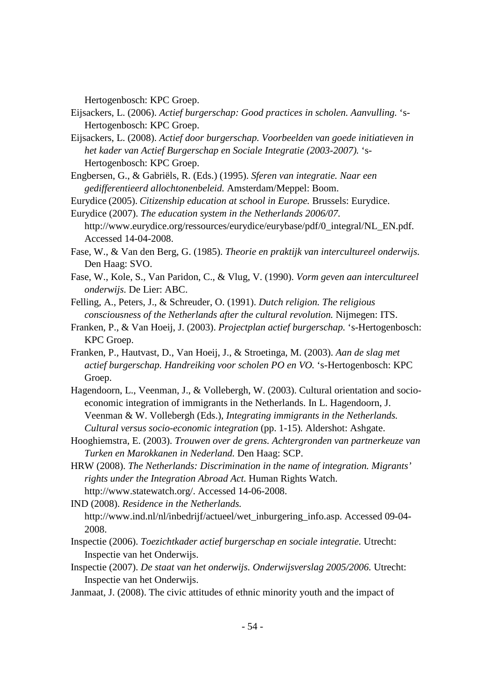Hertogenbosch: KPC Groep.

- Eijsackers, L. (2006). *Actief burgerschap: Good practices in scholen. Aanvulling.* 's-Hertogenbosch: KPC Groep.
- Eijsackers, L. (2008). *Actief door burgerschap. Voorbeelden van goede initiatieven in het kader van Actief Burgerschap en Sociale Integratie (2003-2007).* 's-Hertogenbosch: KPC Groep.
- Engbersen, G., & Gabriëls, R. (Eds.) (1995). *Sferen van integratie. Naar een gedifferentieerd allochtonenbeleid.* Amsterdam/Meppel: Boom.
- Eurydice (2005). *Citizenship education at school in Europe.* Brussels: Eurydice.
- Eurydice (2007). *The education system in the Netherlands 2006/07.*
- http://www.eurydice.org/ressources/eurydice/eurybase/pdf/0\_integral/NL\_EN.pdf. Accessed 14-04-2008.
- Fase, W., & Van den Berg, G. (1985). *Theorie en praktijk van intercultureel onderwijs.* Den Haag: SVO.
- Fase, W., Kole, S., Van Paridon, C., & Vlug, V. (1990). *Vorm geven aan intercultureel onderwijs.* De Lier: ABC.
- Felling, A., Peters, J., & Schreuder, O. (1991). *Dutch religion. The religious consciousness of the Netherlands after the cultural revolution.* Nijmegen: ITS.
- Franken, P., & Van Hoeij, J. (2003). *Projectplan actief burgerschap.* 's-Hertogenbosch: KPC Groep.
- Franken, P., Hautvast, D., Van Hoeij, J., & Stroetinga, M. (2003). *Aan de slag met actief burgerschap. Handreiking voor scholen PO en VO.* 's-Hertogenbosch: KPC Groep.
- Hagendoorn, L., Veenman, J., & Vollebergh, W. (2003). Cultural orientation and socioeconomic integration of immigrants in the Netherlands. In L. Hagendoorn, J. Veenman & W. Vollebergh (Eds.), *Integrating immigrants in the Netherlands. Cultural versus socio-economic integration* (pp. 1-15)*.* Aldershot: Ashgate.
- Hooghiemstra, E. (2003). *Trouwen over de grens. Achtergronden van partnerkeuze van Turken en Marokkanen in Nederland.* Den Haag: SCP.
- HRW (2008). *The Netherlands: Discrimination in the name of integration. Migrants' rights under the Integration Abroad Act.* Human Rights Watch. http://www.statewatch.org/. Accessed 14-06-2008.

IND (2008). *Residence in the Netherlands.* http://www.ind.nl/nl/inbedrijf/actueel/wet\_inburgering\_info.asp. Accessed 09-04- 2008.

- Inspectie (2006). *Toezichtkader actief burgerschap en sociale integratie.* Utrecht: Inspectie van het Onderwijs.
- Inspectie (2007). *De staat van het onderwijs. Onderwijsverslag 2005/2006.* Utrecht: Inspectie van het Onderwijs.
- Janmaat, J. (2008). The civic attitudes of ethnic minority youth and the impact of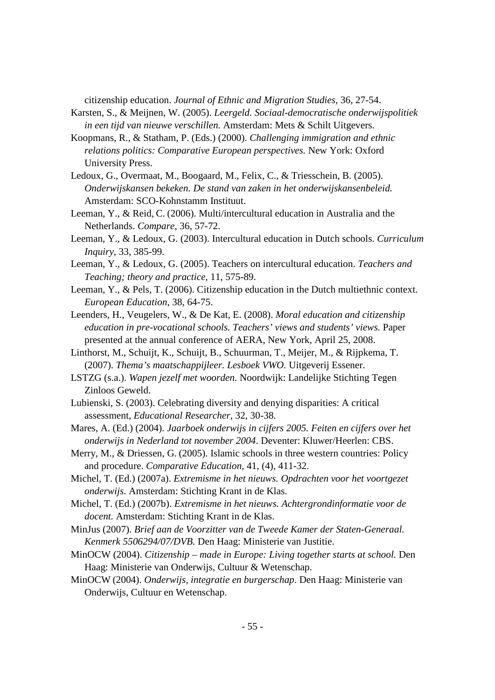citizenship education. *Journal of Ethnic and Migration Studies*, 36, 27-54.

- Karsten, S., & Meijnen, W. (2005). *Leergeld. Sociaal-democratische onderwijspolitiek in een tijd van nieuwe verschillen.* Amsterdam: Mets & Schilt Uitgevers.
- Koopmans, R., & Statham, P. (Eds.) (2000). *Challenging immigration and ethnic relations politics: Comparative European perspectives.* New York: Oxford University Press.
- Ledoux, G., Overmaat, M., Boogaard, M., Felix, C., & Triesschein, B. (2005). *Onderwijskansen bekeken. De stand van zaken in het onderwijskansenbeleid.* Amsterdam: SCO-Kohnstamm Instituut.
- Leeman, Y., & Reid, C. (2006). Multi/intercultural education in Australia and the Netherlands. *Compare*, 36, 57-72.
- Leeman, Y., & Ledoux, G. (2003). Intercultural education in Dutch schools. *Curriculum Inquiry*, 33, 385-99.
- Leeman, Y., & Ledoux, G. (2005). Teachers on intercultural education. *Teachers and Teaching; theory and practice*, 11, 575-89.
- Leeman, Y., & Pels, T. (2006). Citizenship education in the Dutch multiethnic context. *European Education*, 38, 64-75.
- Leenders, H., Veugelers, W., & De Kat, E. (2008). *Moral education and citizenship education in pre-vocational schools. Teachers' views and students' views.* Paper presented at the annual conference of AERA, New York, April 25, 2008.
- Linthorst, M., Schuijt, K., Schuijt, B., Schuurman, T., Meijer, M., & Rijpkema, T. (2007). *Thema's maatschappijleer. Lesboek VWO.* Uitgeverij Essener.
- LSTZG (s.a.). *Wapen jezelf met woorden.* Noordwijk: Landelijke Stichting Tegen Zinloos Geweld.
- Lubienski, S. (2003). Celebrating diversity and denying disparities: A critical assessment, *Educational Researcher,* 32, 30-38.
- Mares, A. (Ed.) (2004). *Jaarboek onderwijs in cijfers 2005. Feiten en cijfers over het onderwijs in Nederland tot november 2004*. Deventer: Kluwer/Heerlen: CBS.
- Merry, M., & Driessen, G. (2005). Islamic schools in three western countries: Policy and procedure. *Comparative Education*, 41, (4), 411-32.
- Michel, T. (Ed.) (2007a). *Extremisme in het nieuws. Opdrachten voor het voortgezet onderwijs.* Amsterdam: Stichting Krant in de Klas.
- Michel, T. (Ed.) (2007b). *Extremisme in het nieuws. Achtergrondinformatie voor de docent.* Amsterdam: Stichting Krant in de Klas.
- MinJus (2007). *Brief aan de Voorzitter van de Tweede Kamer der Staten-Generaal. Kenmerk 5506294/07/DVB.* Den Haag: Ministerie van Justitie.
- MinOCW (2004). *Citizenship – made in Europe: Living together starts at school.* Den Haag: Ministerie van Onderwijs, Cultuur & Wetenschap.
- MinOCW (2004). *Onderwijs, integratie en burgerschap*. Den Haag: Ministerie van Onderwijs, Cultuur en Wetenschap.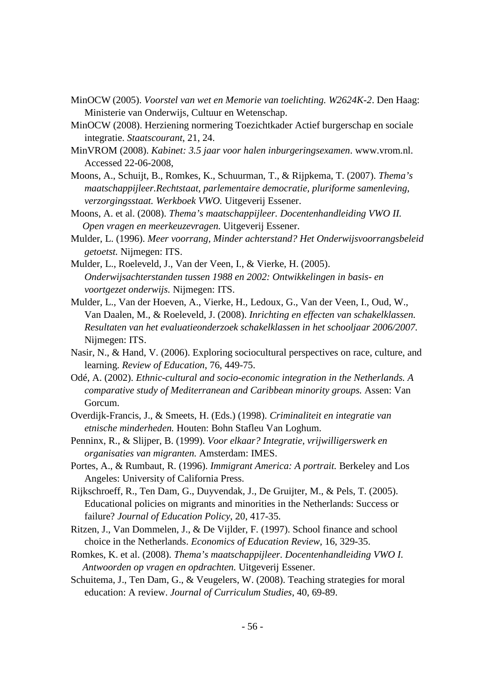- MinOCW (2005). *Voorstel van wet en Memorie van toelichting. W2624K-2*. Den Haag: Ministerie van Onderwijs, Cultuur en Wetenschap.
- MinOCW (2008). Herziening normering Toezichtkader Actief burgerschap en sociale integratie. *Staatscourant*, 21, 24.
- MinVROM (2008). *Kabinet: 3.5 jaar voor halen inburgeringsexamen*. www.vrom.nl. Accessed 22-06-2008,
- Moons, A., Schuijt, B., Romkes, K., Schuurman, T., & Rijpkema, T. (2007). *Thema's maatschappijleer.Rechtstaat, parlementaire democratie, pluriforme samenleving, verzorgingsstaat. Werkboek VWO.* Uitgeverij Essener.
- Moons, A. et al. (2008). *Thema's maatschappijleer. Docentenhandleiding VWO II. Open vragen en meerkeuzevragen.* Uitgeverij Essener.
- Mulder, L. (1996). *Meer voorrang, Minder achterstand? Het Onderwijsvoorrangsbeleid getoetst.* Nijmegen: ITS.
- Mulder, L., Roeleveld, J., Van der Veen, I., & Vierke, H. (2005). *Onderwijsachterstanden tussen 1988 en 2002: Ontwikkelingen in basis- en voortgezet onderwijs.* Nijmegen: ITS.
- Mulder, L., Van der Hoeven, A., Vierke, H., Ledoux, G., Van der Veen, I., Oud, W., Van Daalen, M., & Roeleveld, J. (2008). *Inrichting en effecten van schakelklassen. Resultaten van het evaluatieonderzoek schakelklassen in het schooljaar 2006/2007.* Nijmegen: ITS.
- Nasir, N., & Hand, V. (2006). Exploring sociocultural perspectives on race, culture, and learning. *Review of Education*, 76, 449-75.
- Odé, A. (2002). *Ethnic-cultural and socio-economic integration in the Netherlands. A comparative study of Mediterranean and Caribbean minority groups.* Assen: Van Gorcum.
- Overdijk-Francis, J., & Smeets, H. (Eds.) (1998). *Criminaliteit en integratie van etnische minderheden.* Houten: Bohn Stafleu Van Loghum.
- Penninx, R., & Slijper, B. (1999). *Voor elkaar? Integratie, vrijwilligerswerk en organisaties van migranten.* Amsterdam: IMES.
- Portes, A., & Rumbaut, R. (1996). *Immigrant America: A portrait.* Berkeley and Los Angeles: University of California Press.
- Rijkschroeff, R., Ten Dam, G., Duyvendak, J., De Gruijter, M., & Pels, T. (2005). Educational policies on migrants and minorities in the Netherlands: Success or failure? *Journal of Education Policy*, 20, 417-35.
- Ritzen, J., Van Dommelen, J., & De Vijlder, F. (1997). School finance and school choice in the Netherlands. *Economics of Education Review*, 16, 329-35.
- Romkes, K. et al. (2008). *Thema's maatschappijleer. Docentenhandleiding VWO I. Antwoorden op vragen en opdrachten.* Uitgeverij Essener.
- Schuitema, J., Ten Dam, G., & Veugelers, W. (2008). Teaching strategies for moral education: A review. *Journal of Curriculum Studies*, 40, 69-89.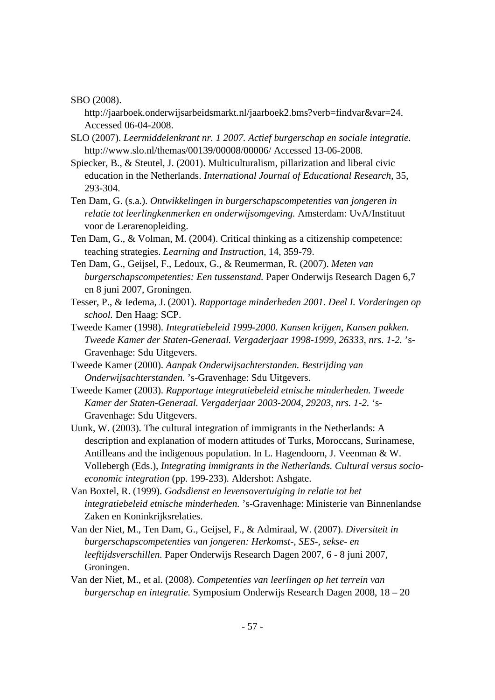SBO (2008).

http://jaarboek.onderwijsarbeidsmarkt.nl/jaarboek2.bms?verb=findvar&var=24. Accessed 06-04-2008.

- SLO (2007). *Leermiddelenkrant nr. 1 2007. Actief burgerschap en sociale integratie*. http://www.slo.nl/themas/00139/00008/00006/ Accessed 13-06-2008.
- Spiecker, B., & Steutel, J. (2001). Multiculturalism, pillarization and liberal civic education in the Netherlands. *International Journal of Educational Research*, 35, 293-304.
- Ten Dam, G. (s.a.). *Ontwikkelingen in burgerschapscompetenties van jongeren in relatie tot leerlingkenmerken en onderwijsomgeving.* Amsterdam: UvA/Instituut voor de Lerarenopleiding.
- Ten Dam, G., & Volman, M. (2004). Critical thinking as a citizenship competence: teaching strategies. *Learning and Instruction*, 14, 359-79.
- Ten Dam, G., Geijsel, F., Ledoux, G., & Reumerman, R. (2007). *Meten van burgerschapscompetenties: Een tussenstand.* Paper Onderwijs Research Dagen 6,7 en 8 juni 2007, Groningen.
- Tesser, P., & Iedema, J. (2001). *Rapportage minderheden 2001. Deel I. Vorderingen op school.* Den Haag: SCP.
- Tweede Kamer (1998). *Integratiebeleid 1999-2000. Kansen krijgen, Kansen pakken. Tweede Kamer der Staten-Generaal. Vergaderjaar 1998-1999, 26333, nrs. 1-2.* 's-Gravenhage: Sdu Uitgevers.
- Tweede Kamer (2000). *Aanpak Onderwijsachterstanden. Bestrijding van Onderwijsachterstanden.* 's-Gravenhage: Sdu Uitgevers.
- Tweede Kamer (2003). *Rapportage integratiebeleid etnische minderheden. Tweede Kamer der Staten-Generaal. Vergaderjaar 2003-2004, 29203, nrs. 1-2.* 's-Gravenhage: Sdu Uitgevers.
- Uunk, W. (2003). The cultural integration of immigrants in the Netherlands: A description and explanation of modern attitudes of Turks, Moroccans, Surinamese, Antilleans and the indigenous population. In L. Hagendoorn, J. Veenman & W. Vollebergh (Eds.), *Integrating immigrants in the Netherlands. Cultural versus socioeconomic integration* (pp. 199-233)*.* Aldershot: Ashgate.
- Van Boxtel, R. (1999). *Godsdienst en levensovertuiging in relatie tot het integratiebeleid etnische minderheden.* 's-Gravenhage: Ministerie van Binnenlandse Zaken en Koninkrijksrelaties.
- Van der Niet, M., Ten Dam, G., Geijsel, F., & Admiraal, W. (2007). *Diversiteit in burgerschapscompetenties van jongeren: Herkomst-, SES-, sekse- en leeftijdsverschillen.* Paper Onderwijs Research Dagen 2007, 6 - 8 juni 2007, Groningen.
- Van der Niet, M., et al. (2008). *Competenties van leerlingen op het terrein van burgerschap en integratie.* Symposium Onderwijs Research Dagen 2008, 18 – 20